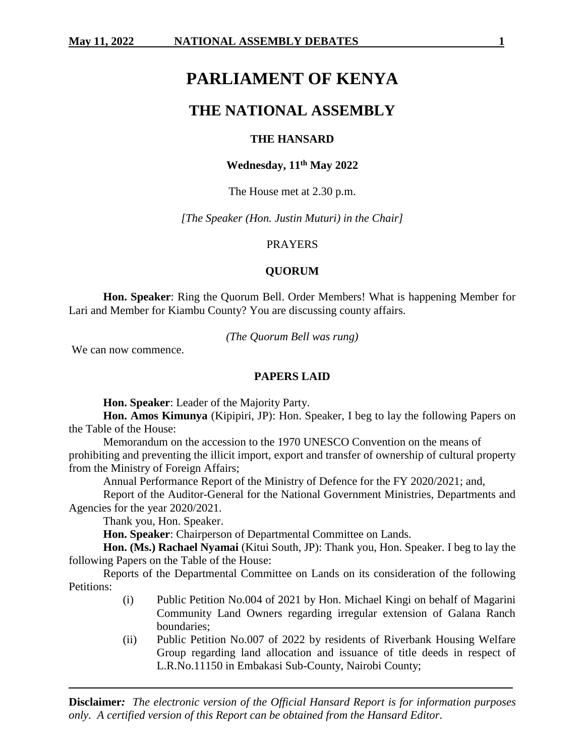# **PARLIAMENT OF KENYA**

## **THE NATIONAL ASSEMBLY**

#### **THE HANSARD**

## **Wednesday, 11th May 2022**

The House met at 2.30 p.m.

*[The Speaker (Hon. Justin Muturi) in the Chair]*

#### PRAYERS

#### **QUORUM**

**Hon. Speaker**: Ring the Quorum Bell. Order Members! What is happening Member for Lari and Member for Kiambu County? You are discussing county affairs.

*(The Quorum Bell was rung)*

We can now commence.

#### **PAPERS LAID**

**Hon. Speaker**: Leader of the Majority Party.

**Hon. Amos Kimunya** (Kipipiri, JP): Hon. Speaker, I beg to lay the following Papers on the Table of the House:

Memorandum on the accession to the 1970 UNESCO Convention on the means of prohibiting and preventing the illicit import, export and transfer of ownership of cultural property from the Ministry of Foreign Affairs;

Annual Performance Report of the Ministry of Defence for the FY 2020/2021; and,

Report of the Auditor-General for the National Government Ministries, Departments and Agencies for the year 2020/2021.

Thank you, Hon. Speaker.

**Hon. Speaker**: Chairperson of Departmental Committee on Lands.

**Hon. (Ms.) Rachael Nyamai** (Kitui South, JP): Thank you, Hon. Speaker. I beg to lay the following Papers on the Table of the House:

Reports of the Departmental Committee on Lands on its consideration of the following Petitions:

- (i) Public Petition No.004 of 2021 by Hon. Michael Kingi on behalf of Magarini Community Land Owners regarding irregular extension of Galana Ranch boundaries;
- (ii) Public Petition No.007 of 2022 by residents of Riverbank Housing Welfare Group regarding land allocation and issuance of title deeds in respect of L.R.No.11150 in Embakasi Sub-County, Nairobi County;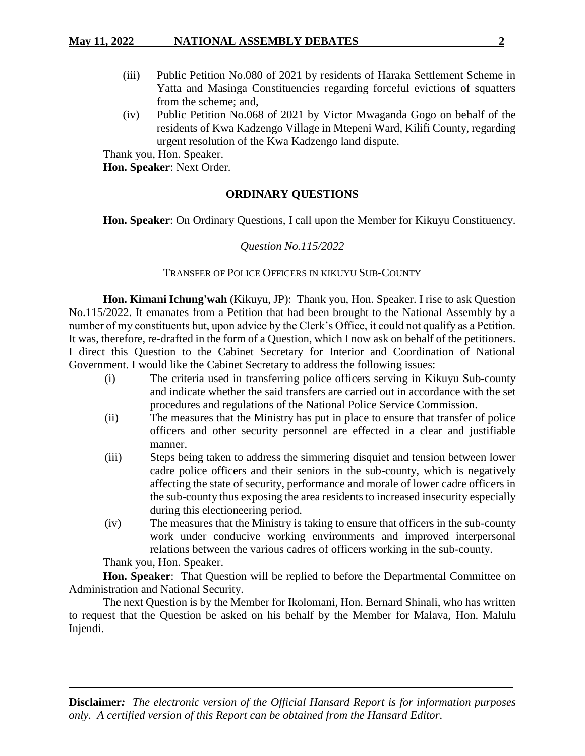## **May 11, 2022 NATIONAL ASSEMBLY DEBATES 2**

- (iii) Public Petition No.080 of 2021 by residents of Haraka Settlement Scheme in Yatta and Masinga Constituencies regarding forceful evictions of squatters from the scheme; and,
- (iv) Public Petition No.068 of 2021 by Victor Mwaganda Gogo on behalf of the residents of Kwa Kadzengo Village in Mtepeni Ward, Kilifi County, regarding urgent resolution of the Kwa Kadzengo land dispute.

Thank you, Hon. Speaker.

**Hon. Speaker**: Next Order.

## **ORDINARY QUESTIONS**

**Hon. Speaker**: On Ordinary Questions, I call upon the Member for Kikuyu Constituency.

## *Question No.115/2022*

## TRANSFER OF POLICE OFFICERS IN KIKUYU SUB-COUNTY

**Hon. Kimani Ichung'wah** (Kikuyu, JP): Thank you, Hon. Speaker. I rise to ask Question No.115/2022. It emanates from a Petition that had been brought to the National Assembly by a number of my constituents but, upon advice by the Clerk's Office, it could not qualify as a Petition. It was, therefore, re-drafted in the form of a Question, which I now ask on behalf of the petitioners. I direct this Question to the Cabinet Secretary for Interior and Coordination of National Government. I would like the Cabinet Secretary to address the following issues:

- (i) The criteria used in transferring police officers serving in Kikuyu Sub-county and indicate whether the said transfers are carried out in accordance with the set procedures and regulations of the National Police Service Commission.
- (ii) The measures that the Ministry has put in place to ensure that transfer of police officers and other security personnel are effected in a clear and justifiable manner.
- (iii) Steps being taken to address the simmering disquiet and tension between lower cadre police officers and their seniors in the sub-county, which is negatively affecting the state of security, performance and morale of lower cadre officers in the sub-county thus exposing the area residents to increased insecurity especially during this electioneering period.
- (iv) The measures that the Ministry is taking to ensure that officers in the sub-county work under conducive working environments and improved interpersonal relations between the various cadres of officers working in the sub-county.

Thank you, Hon. Speaker.

**Hon. Speaker**: That Question will be replied to before the Departmental Committee on Administration and National Security.

The next Question is by the Member for Ikolomani, Hon. Bernard Shinali, who has written to request that the Question be asked on his behalf by the Member for Malava, Hon. Malulu Injendi.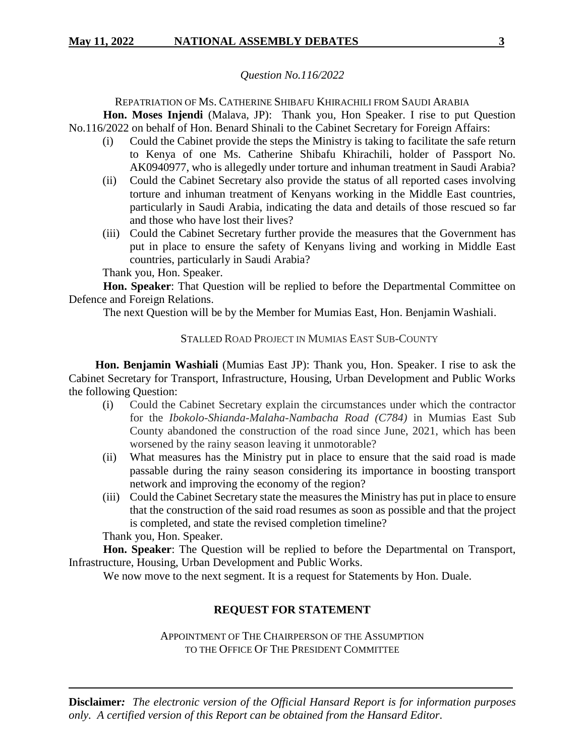## *Question No.116/2022*

### REPATRIATION OF MS. CATHERINE SHIBAFU KHIRACHILI FROM SAUDI ARABIA

**Hon. Moses Injendi** (Malava, JP): Thank you, Hon Speaker. I rise to put Question No.116/2022 on behalf of Hon. Benard Shinali to the Cabinet Secretary for Foreign Affairs:

- (i) Could the Cabinet provide the steps the Ministry is taking to facilitate the safe return to Kenya of one Ms. Catherine Shibafu Khirachili, holder of Passport No. AK0940977, who is allegedly under torture and inhuman treatment in Saudi Arabia?
- (ii) Could the Cabinet Secretary also provide the status of all reported cases involving torture and inhuman treatment of Kenyans working in the Middle East countries, particularly in Saudi Arabia, indicating the data and details of those rescued so far and those who have lost their lives?
- (iii) Could the Cabinet Secretary further provide the measures that the Government has put in place to ensure the safety of Kenyans living and working in Middle East countries, particularly in Saudi Arabia?

Thank you, Hon. Speaker.

**Hon. Speaker**: That Question will be replied to before the Departmental Committee on Defence and Foreign Relations.

The next Question will be by the Member for Mumias East, Hon. Benjamin Washiali.

## STALLED ROAD PROJECT IN MUMIAS EAST SUB-COUNTY

**Hon. Benjamin Washiali** (Mumias East JP): Thank you, Hon. Speaker. I rise to ask the Cabinet Secretary for Transport, Infrastructure, Housing, Urban Development and Public Works the following Question:

- (i) Could the Cabinet Secretary explain the circumstances under which the contractor for the *Ibokolo-Shianda-Malaha-Nambacha Road (C784)* in Mumias East Sub County abandoned the construction of the road since June, 2021, which has been worsened by the rainy season leaving it unmotorable?
- (ii) What measures has the Ministry put in place to ensure that the said road is made passable during the rainy season considering its importance in boosting transport network and improving the economy of the region?
- (iii) Could the Cabinet Secretary state the measures the Ministry has put in place to ensure that the construction of the said road resumes as soon as possible and that the project is completed, and state the revised completion timeline?

Thank you, Hon. Speaker.

**Hon. Speaker**: The Question will be replied to before the Departmental on Transport, Infrastructure, Housing, Urban Development and Public Works.

We now move to the next segment. It is a request for Statements by Hon. Duale.

## **REQUEST FOR STATEMENT**

APPOINTMENT OF THE CHAIRPERSON OF THE ASSUMPTION TO THE OFFICE OF THE PRESIDENT COMMITTEE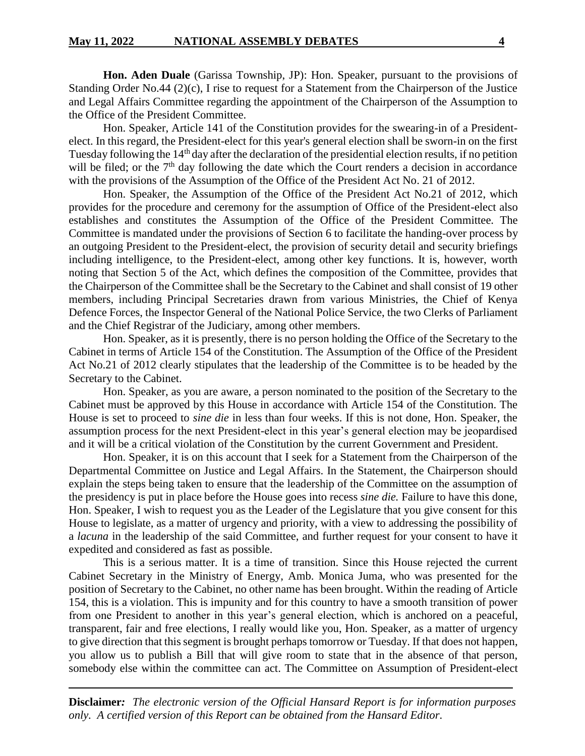**Hon. Aden Duale** (Garissa Township, JP): Hon. Speaker, pursuant to the provisions of Standing Order No.44 (2)(c), I rise to request for a Statement from the Chairperson of the Justice and Legal Affairs Committee regarding the appointment of the Chairperson of the Assumption to the Office of the President Committee.

Hon. Speaker, Article 141 of the Constitution provides for the swearing-in of a Presidentelect. In this regard, the President-elect for this year's general election shall be sworn-in on the first Tuesday following the 14<sup>th</sup> day after the declaration of the presidential election results, if no petition will be filed; or the  $7<sup>th</sup>$  day following the date which the Court renders a decision in accordance with the provisions of the Assumption of the Office of the President Act No. 21 of 2012.

Hon. Speaker, the Assumption of the Office of the President Act No.21 of 2012, which provides for the procedure and ceremony for the assumption of Office of the President-elect also establishes and constitutes the Assumption of the Office of the President Committee. The Committee is mandated under the provisions of Section 6 to facilitate the handing-over process by an outgoing President to the President-elect, the provision of security detail and security briefings including intelligence, to the President-elect, among other key functions. It is, however, worth noting that Section 5 of the Act, which defines the composition of the Committee, provides that the Chairperson of the Committee shall be the Secretary to the Cabinet and shall consist of 19 other members, including Principal Secretaries drawn from various Ministries, the Chief of Kenya Defence Forces, the Inspector General of the National Police Service, the two Clerks of Parliament and the Chief Registrar of the Judiciary, among other members.

Hon. Speaker, as it is presently, there is no person holding the Office of the Secretary to the Cabinet in terms of Article 154 of the Constitution. The Assumption of the Office of the President Act No.21 of 2012 clearly stipulates that the leadership of the Committee is to be headed by the Secretary to the Cabinet.

Hon. Speaker, as you are aware, a person nominated to the position of the Secretary to the Cabinet must be approved by this House in accordance with Article 154 of the Constitution. The House is set to proceed to *sine die* in less than four weeks. If this is not done, Hon. Speaker, the assumption process for the next President-elect in this year's general election may be jeopardised and it will be a critical violation of the Constitution by the current Government and President.

Hon. Speaker, it is on this account that I seek for a Statement from the Chairperson of the Departmental Committee on Justice and Legal Affairs. In the Statement, the Chairperson should explain the steps being taken to ensure that the leadership of the Committee on the assumption of the presidency is put in place before the House goes into recess *sine die.* Failure to have this done, Hon. Speaker, I wish to request you as the Leader of the Legislature that you give consent for this House to legislate, as a matter of urgency and priority, with a view to addressing the possibility of a *lacuna* in the leadership of the said Committee, and further request for your consent to have it expedited and considered as fast as possible.

This is a serious matter. It is a time of transition. Since this House rejected the current Cabinet Secretary in the Ministry of Energy, Amb. Monica Juma, who was presented for the position of Secretary to the Cabinet, no other name has been brought. Within the reading of Article 154, this is a violation. This is impunity and for this country to have a smooth transition of power from one President to another in this year's general election, which is anchored on a peaceful, transparent, fair and free elections, I really would like you, Hon. Speaker, as a matter of urgency to give direction that this segment is brought perhaps tomorrow or Tuesday. If that does not happen, you allow us to publish a Bill that will give room to state that in the absence of that person, somebody else within the committee can act. The Committee on Assumption of President-elect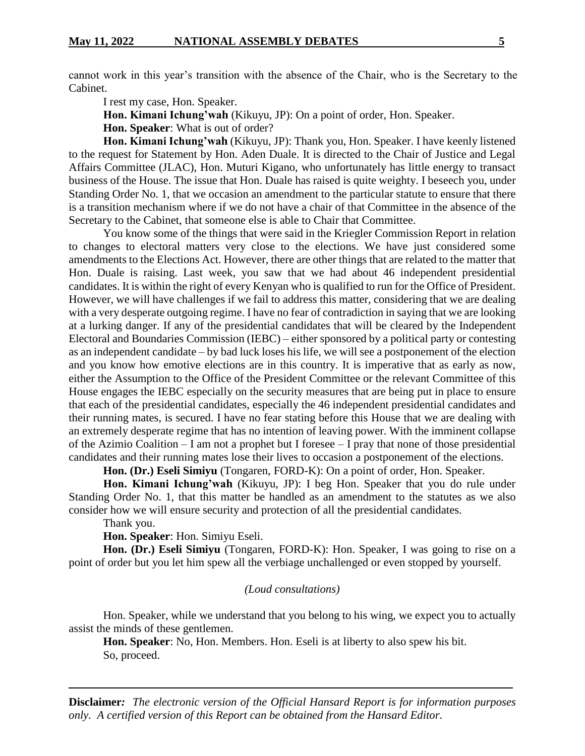cannot work in this year's transition with the absence of the Chair, who is the Secretary to the Cabinet.

I rest my case, Hon. Speaker.

**Hon. Kimani Ichung'wah** (Kikuyu, JP): On a point of order, Hon. Speaker.

**Hon. Speaker**: What is out of order?

**Hon. Kimani Ichung'wah** (Kikuyu, JP): Thank you, Hon. Speaker. I have keenly listened to the request for Statement by Hon. Aden Duale. It is directed to the Chair of Justice and Legal Affairs Committee (JLAC), Hon. Muturi Kigano, who unfortunately has little energy to transact business of the House. The issue that Hon. Duale has raised is quite weighty. I beseech you, under Standing Order No. 1, that we occasion an amendment to the particular statute to ensure that there is a transition mechanism where if we do not have a chair of that Committee in the absence of the Secretary to the Cabinet, that someone else is able to Chair that Committee.

You know some of the things that were said in the Kriegler Commission Report in relation to changes to electoral matters very close to the elections. We have just considered some amendments to the Elections Act. However, there are other things that are related to the matter that Hon. Duale is raising. Last week, you saw that we had about 46 independent presidential candidates. It is within the right of every Kenyan who is qualified to run for the Office of President. However, we will have challenges if we fail to address this matter, considering that we are dealing with a very desperate outgoing regime. I have no fear of contradiction in saying that we are looking at a lurking danger. If any of the presidential candidates that will be cleared by the Independent Electoral and Boundaries Commission (IEBC) – either sponsored by a political party or contesting as an independent candidate – by bad luck loses his life, we will see a postponement of the election and you know how emotive elections are in this country. It is imperative that as early as now, either the Assumption to the Office of the President Committee or the relevant Committee of this House engages the IEBC especially on the security measures that are being put in place to ensure that each of the presidential candidates, especially the 46 independent presidential candidates and their running mates, is secured. I have no fear stating before this House that we are dealing with an extremely desperate regime that has no intention of leaving power. With the imminent collapse of the Azimio Coalition – I am not a prophet but I foresee – I pray that none of those presidential candidates and their running mates lose their lives to occasion a postponement of the elections.

**Hon. (Dr.) Eseli Simiyu** (Tongaren, FORD-K): On a point of order, Hon. Speaker.

**Hon. Kimani Ichung'wah** (Kikuyu, JP): I beg Hon. Speaker that you do rule under Standing Order No. 1, that this matter be handled as an amendment to the statutes as we also consider how we will ensure security and protection of all the presidential candidates.

Thank you.

**Hon. Speaker**: Hon. Simiyu Eseli.

**Hon. (Dr.) Eseli Simiyu** (Tongaren, FORD-K): Hon. Speaker, I was going to rise on a point of order but you let him spew all the verbiage unchallenged or even stopped by yourself.

#### *(Loud consultations)*

Hon. Speaker, while we understand that you belong to his wing, we expect you to actually assist the minds of these gentlemen.

**Hon. Speaker**: No, Hon. Members. Hon. Eseli is at liberty to also spew his bit. So, proceed.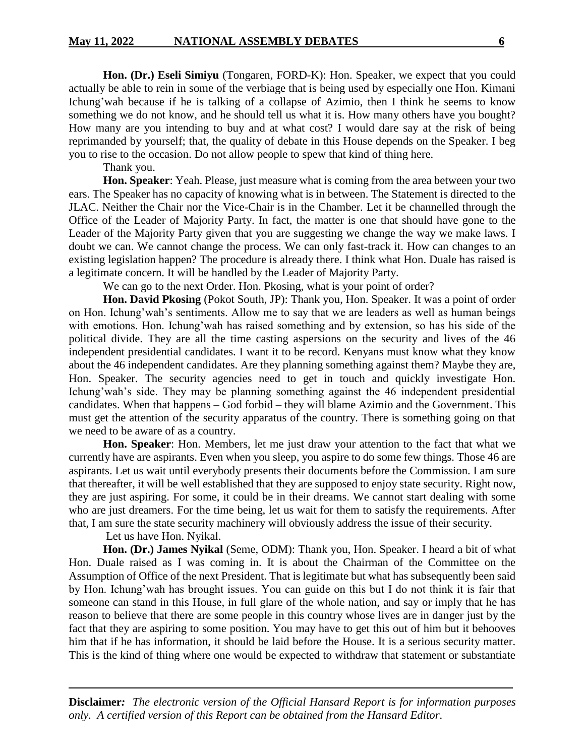**Hon. (Dr.) Eseli Simiyu** (Tongaren, FORD-K): Hon. Speaker, we expect that you could actually be able to rein in some of the verbiage that is being used by especially one Hon. Kimani Ichung'wah because if he is talking of a collapse of Azimio, then I think he seems to know something we do not know, and he should tell us what it is. How many others have you bought? How many are you intending to buy and at what cost? I would dare say at the risk of being reprimanded by yourself; that, the quality of debate in this House depends on the Speaker. I beg you to rise to the occasion. Do not allow people to spew that kind of thing here.

Thank you.

**Hon. Speaker**: Yeah. Please, just measure what is coming from the area between your two ears. The Speaker has no capacity of knowing what is in between. The Statement is directed to the JLAC. Neither the Chair nor the Vice-Chair is in the Chamber. Let it be channelled through the Office of the Leader of Majority Party. In fact, the matter is one that should have gone to the Leader of the Majority Party given that you are suggesting we change the way we make laws. I doubt we can. We cannot change the process. We can only fast-track it. How can changes to an existing legislation happen? The procedure is already there. I think what Hon. Duale has raised is a legitimate concern. It will be handled by the Leader of Majority Party.

We can go to the next Order. Hon. Pkosing, what is your point of order?

**Hon. David Pkosing** (Pokot South, JP): Thank you, Hon. Speaker. It was a point of order on Hon. Ichung'wah's sentiments. Allow me to say that we are leaders as well as human beings with emotions. Hon. Ichung'wah has raised something and by extension, so has his side of the political divide. They are all the time casting aspersions on the security and lives of the 46 independent presidential candidates. I want it to be record. Kenyans must know what they know about the 46 independent candidates. Are they planning something against them? Maybe they are, Hon. Speaker. The security agencies need to get in touch and quickly investigate Hon. Ichung'wah's side. They may be planning something against the 46 independent presidential candidates. When that happens – God forbid – they will blame Azimio and the Government. This must get the attention of the security apparatus of the country. There is something going on that we need to be aware of as a country.

**Hon. Speaker**: Hon. Members, let me just draw your attention to the fact that what we currently have are aspirants. Even when you sleep, you aspire to do some few things. Those 46 are aspirants. Let us wait until everybody presents their documents before the Commission. I am sure that thereafter, it will be well established that they are supposed to enjoy state security. Right now, they are just aspiring. For some, it could be in their dreams. We cannot start dealing with some who are just dreamers. For the time being, let us wait for them to satisfy the requirements. After that, I am sure the state security machinery will obviously address the issue of their security.

Let us have Hon. Nyikal.

**Hon. (Dr.) James Nyikal** (Seme, ODM): Thank you, Hon. Speaker. I heard a bit of what Hon. Duale raised as I was coming in. It is about the Chairman of the Committee on the Assumption of Office of the next President. That is legitimate but what has subsequently been said by Hon. Ichung'wah has brought issues. You can guide on this but I do not think it is fair that someone can stand in this House, in full glare of the whole nation, and say or imply that he has reason to believe that there are some people in this country whose lives are in danger just by the fact that they are aspiring to some position. You may have to get this out of him but it behooves him that if he has information, it should be laid before the House. It is a serious security matter. This is the kind of thing where one would be expected to withdraw that statement or substantiate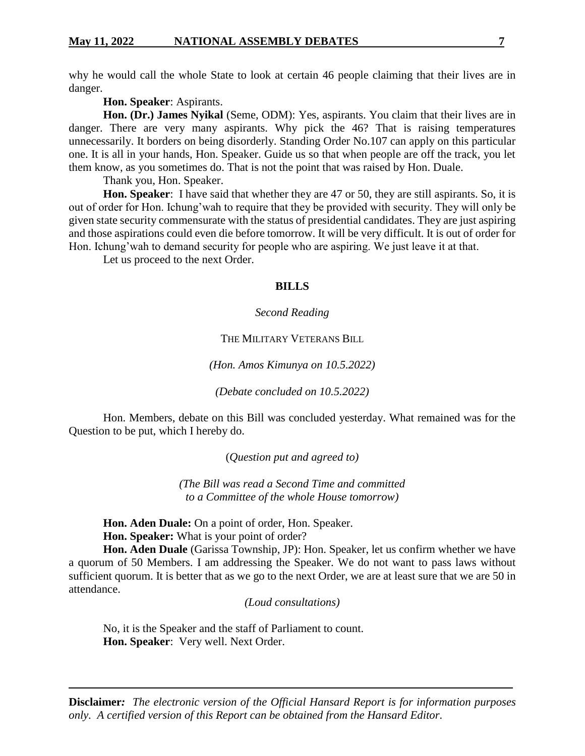why he would call the whole State to look at certain 46 people claiming that their lives are in danger.

**Hon. Speaker**: Aspirants.

**Hon. (Dr.) James Nyikal** (Seme, ODM): Yes, aspirants. You claim that their lives are in danger. There are very many aspirants. Why pick the 46? That is raising temperatures unnecessarily. It borders on being disorderly. Standing Order No.107 can apply on this particular one. It is all in your hands, Hon. Speaker. Guide us so that when people are off the track, you let them know, as you sometimes do. That is not the point that was raised by Hon. Duale.

Thank you, Hon. Speaker.

Hon. Speaker: I have said that whether they are 47 or 50, they are still aspirants. So, it is out of order for Hon. Ichung'wah to require that they be provided with security. They will only be given state security commensurate with the status of presidential candidates. They are just aspiring and those aspirations could even die before tomorrow. It will be very difficult. It is out of order for Hon. Ichung'wah to demand security for people who are aspiring. We just leave it at that.

Let us proceed to the next Order.

#### **BILLS**

#### *Second Reading*

#### THE MILITARY VETERANS BILL

*(Hon. Amos Kimunya on 10.5.2022)*

*(Debate concluded on 10.5.2022)*

Hon. Members, debate on this Bill was concluded yesterday. What remained was for the Question to be put, which I hereby do.

(*Question put and agreed to)*

*(The Bill was read a Second Time and committed to a Committee of the whole House tomorrow)*

**Hon. Aden Duale:** On a point of order, Hon. Speaker.

**Hon. Speaker:** What is your point of order?

**Hon. Aden Duale** (Garissa Township, JP): Hon. Speaker, let us confirm whether we have a quorum of 50 Members. I am addressing the Speaker. We do not want to pass laws without sufficient quorum. It is better that as we go to the next Order, we are at least sure that we are 50 in attendance.

*(Loud consultations)*

No, it is the Speaker and the staff of Parliament to count. **Hon. Speaker**: Very well. Next Order.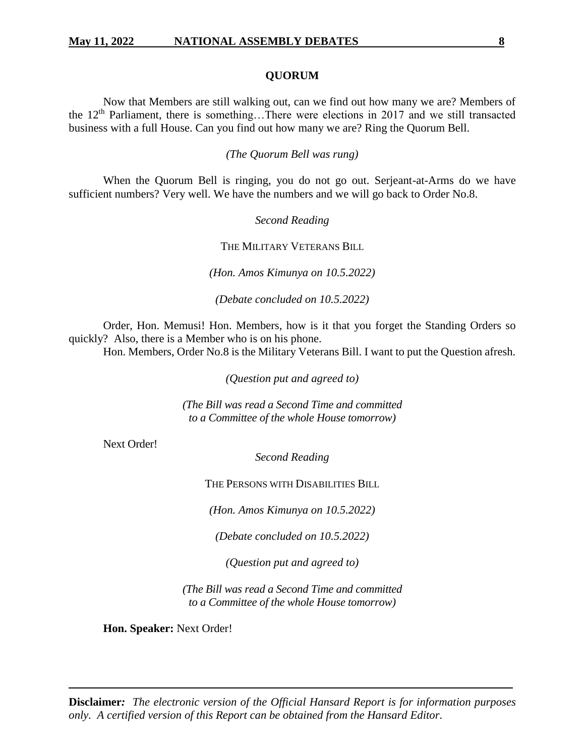#### **QUORUM**

Now that Members are still walking out, can we find out how many we are? Members of the  $12<sup>th</sup>$  Parliament, there is something...There were elections in 2017 and we still transacted business with a full House. Can you find out how many we are? Ring the Quorum Bell.

*(The Quorum Bell was rung)*

When the Quorum Bell is ringing, you do not go out. Serjeant-at-Arms do we have sufficient numbers? Very well. We have the numbers and we will go back to Order No.8.

*Second Reading*

THE MILITARY VETERANS BILL

*(Hon. Amos Kimunya on 10.5.2022)*

*(Debate concluded on 10.5.2022)*

Order, Hon. Memusi! Hon. Members, how is it that you forget the Standing Orders so quickly? Also, there is a Member who is on his phone.

Hon. Members, Order No.8 is the Military Veterans Bill. I want to put the Question afresh.

*(Question put and agreed to)*

*(The Bill was read a Second Time and committed to a Committee of the whole House tomorrow)*

Next Order!

*Second Reading*

THE PERSONS WITH DISABILITIES BILL

*(Hon. Amos Kimunya on 10.5.2022)*

*(Debate concluded on 10.5.2022)*

*(Question put and agreed to)*

*(The Bill was read a Second Time and committed to a Committee of the whole House tomorrow)*

**Hon. Speaker:** Next Order!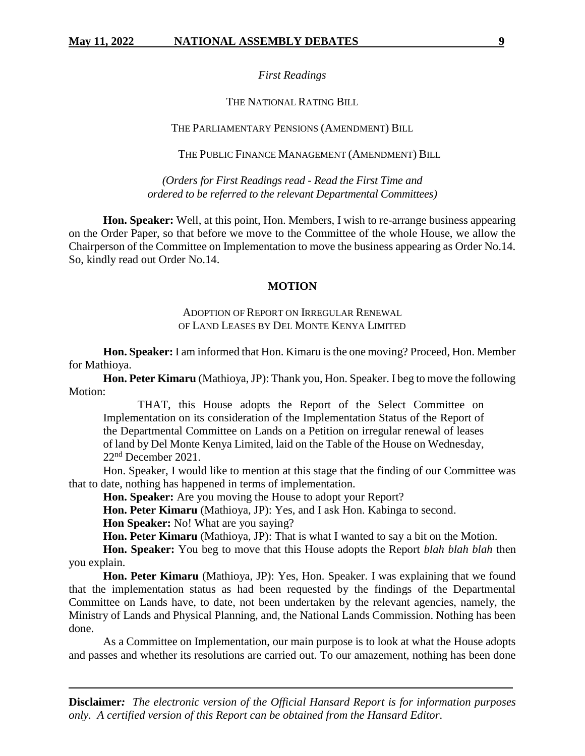#### *First Readings*

#### THE NATIONAL RATING BILL

#### THE PARLIAMENTARY PENSIONS (AMENDMENT) BILL

THE PUBLIC FINANCE MANAGEMENT (AMENDMENT) BILL

*(Orders for First Readings read - Read the First Time and ordered to be referred to the relevant Departmental Committees)*

**Hon. Speaker:** Well, at this point, Hon. Members, I wish to re-arrange business appearing on the Order Paper, so that before we move to the Committee of the whole House, we allow the Chairperson of the Committee on Implementation to move the business appearing as Order No.14. So, kindly read out Order No.14.

#### **MOTION**

#### ADOPTION OF REPORT ON IRREGULAR RENEWAL OF LAND LEASES BY DEL MONTE KENYA LIMITED

**Hon. Speaker:** I am informed that Hon. Kimaru is the one moving? Proceed, Hon. Member for Mathioya.

**Hon. Peter Kimaru** (Mathioya, JP): Thank you, Hon. Speaker. I beg to move the following Motion:

THAT, this House adopts the Report of the Select Committee on Implementation on its consideration of the Implementation Status of the Report of the Departmental Committee on Lands on a Petition on irregular renewal of leases of land by Del Monte Kenya Limited, laid on the Table of the House on Wednesday, 22nd December 2021.

Hon. Speaker, I would like to mention at this stage that the finding of our Committee was that to date, nothing has happened in terms of implementation.

**Hon. Speaker:** Are you moving the House to adopt your Report?

**Hon. Peter Kimaru** (Mathioya, JP): Yes, and I ask Hon. Kabinga to second.

**Hon Speaker:** No! What are you saying?

**Hon. Peter Kimaru** (Mathioya, JP): That is what I wanted to say a bit on the Motion.

**Hon. Speaker:** You beg to move that this House adopts the Report *blah blah blah* then you explain.

**Hon. Peter Kimaru** (Mathioya, JP): Yes, Hon. Speaker. I was explaining that we found that the implementation status as had been requested by the findings of the Departmental Committee on Lands have, to date, not been undertaken by the relevant agencies, namely, the Ministry of Lands and Physical Planning, and, the National Lands Commission. Nothing has been done.

As a Committee on Implementation, our main purpose is to look at what the House adopts and passes and whether its resolutions are carried out. To our amazement, nothing has been done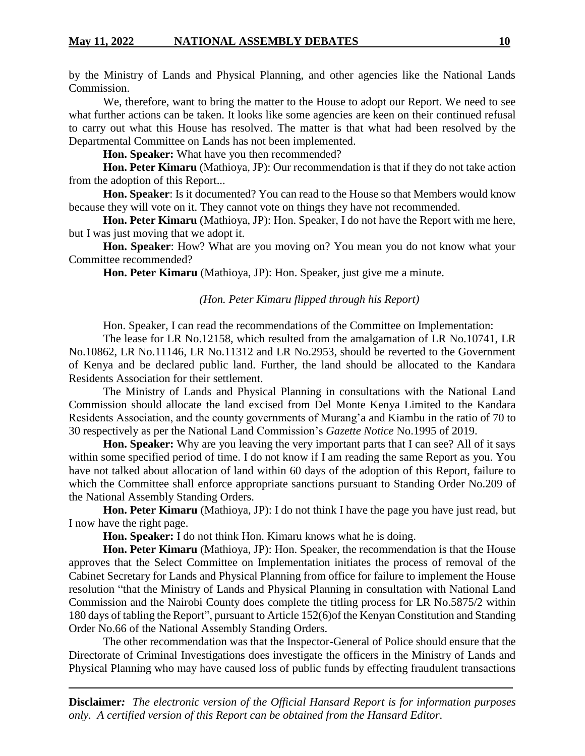by the Ministry of Lands and Physical Planning, and other agencies like the National Lands Commission.

We, therefore, want to bring the matter to the House to adopt our Report. We need to see what further actions can be taken. It looks like some agencies are keen on their continued refusal to carry out what this House has resolved. The matter is that what had been resolved by the Departmental Committee on Lands has not been implemented.

**Hon. Speaker:** What have you then recommended?

**Hon. Peter Kimaru** (Mathioya, JP): Our recommendation is that if they do not take action from the adoption of this Report...

**Hon. Speaker**: Is it documented? You can read to the House so that Members would know because they will vote on it. They cannot vote on things they have not recommended.

**Hon. Peter Kimaru** (Mathioya, JP): Hon. Speaker, I do not have the Report with me here, but I was just moving that we adopt it.

**Hon. Speaker**: How? What are you moving on? You mean you do not know what your Committee recommended?

**Hon. Peter Kimaru** (Mathioya, JP): Hon. Speaker, just give me a minute.

#### *(Hon. Peter Kimaru flipped through his Report)*

Hon. Speaker, I can read the recommendations of the Committee on Implementation:

The lease for LR No.12158, which resulted from the amalgamation of LR No.10741, LR No.10862, LR No.11146, LR No.11312 and LR No.2953, should be reverted to the Government of Kenya and be declared public land. Further, the land should be allocated to the Kandara Residents Association for their settlement.

The Ministry of Lands and Physical Planning in consultations with the National Land Commission should allocate the land excised from Del Monte Kenya Limited to the Kandara Residents Association, and the county governments of Murang'a and Kiambu in the ratio of 70 to 30 respectively as per the National Land Commission's *Gazette Notice* No.1995 of 2019.

**Hon. Speaker:** Why are you leaving the very important parts that I can see? All of it says within some specified period of time. I do not know if I am reading the same Report as you. You have not talked about allocation of land within 60 days of the adoption of this Report, failure to which the Committee shall enforce appropriate sanctions pursuant to Standing Order No.209 of the National Assembly Standing Orders.

**Hon. Peter Kimaru** (Mathioya, JP): I do not think I have the page you have just read, but I now have the right page.

**Hon. Speaker:** I do not think Hon. Kimaru knows what he is doing.

**Hon. Peter Kimaru** (Mathioya, JP): Hon. Speaker, the recommendation is that the House approves that the Select Committee on Implementation initiates the process of removal of the Cabinet Secretary for Lands and Physical Planning from office for failure to implement the House resolution "that the Ministry of Lands and Physical Planning in consultation with National Land Commission and the Nairobi County does complete the titling process for LR No.5875/2 within 180 days of tabling the Report", pursuant to Article 152(6)of the Kenyan Constitution and Standing Order No.66 of the National Assembly Standing Orders.

The other recommendation was that the Inspector-General of Police should ensure that the Directorate of Criminal Investigations does investigate the officers in the Ministry of Lands and Physical Planning who may have caused loss of public funds by effecting fraudulent transactions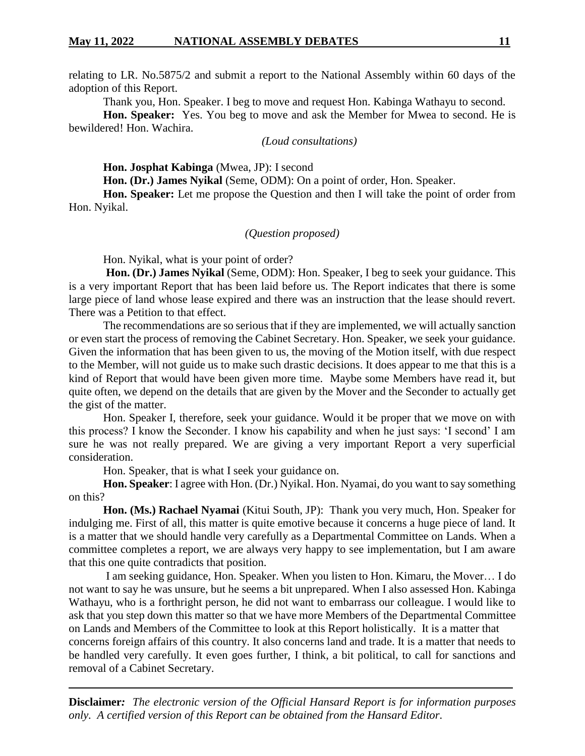#### **May 11, 2022 NATIONAL ASSEMBLY DEBATES 11**

relating to LR. No.5875/2 and submit a report to the National Assembly within 60 days of the adoption of this Report.

Thank you, Hon. Speaker. I beg to move and request Hon. Kabinga Wathayu to second.

**Hon. Speaker:** Yes. You beg to move and ask the Member for Mwea to second. He is bewildered! Hon. Wachira.

*(Loud consultations)*

**Hon. Josphat Kabinga** (Mwea, JP): I second

**Hon. (Dr.) James Nyikal** (Seme, ODM): On a point of order, Hon. Speaker.

**Hon. Speaker:** Let me propose the Question and then I will take the point of order from Hon. Nyikal.

#### *(Question proposed)*

Hon. Nyikal, what is your point of order?

**Hon. (Dr.) James Nyikal** (Seme, ODM): Hon. Speaker, I beg to seek your guidance. This is a very important Report that has been laid before us. The Report indicates that there is some large piece of land whose lease expired and there was an instruction that the lease should revert. There was a Petition to that effect.

The recommendations are so serious that if they are implemented, we will actually sanction or even start the process of removing the Cabinet Secretary. Hon. Speaker, we seek your guidance. Given the information that has been given to us, the moving of the Motion itself, with due respect to the Member, will not guide us to make such drastic decisions. It does appear to me that this is a kind of Report that would have been given more time. Maybe some Members have read it, but quite often, we depend on the details that are given by the Mover and the Seconder to actually get the gist of the matter.

Hon. Speaker I, therefore, seek your guidance. Would it be proper that we move on with this process? I know the Seconder. I know his capability and when he just says: 'I second' I am sure he was not really prepared. We are giving a very important Report a very superficial consideration.

Hon. Speaker, that is what I seek your guidance on.

**Hon. Speaker**: I agree with Hon. (Dr.) Nyikal. Hon. Nyamai, do you want to say something on this?

**Hon. (Ms.) Rachael Nyamai** (Kitui South, JP): Thank you very much, Hon. Speaker for indulging me. First of all, this matter is quite emotive because it concerns a huge piece of land. It is a matter that we should handle very carefully as a Departmental Committee on Lands. When a committee completes a report, we are always very happy to see implementation, but I am aware that this one quite contradicts that position.

I am seeking guidance, Hon. Speaker. When you listen to Hon. Kimaru, the Mover… I do not want to say he was unsure, but he seems a bit unprepared. When I also assessed Hon. Kabinga Wathayu, who is a forthright person, he did not want to embarrass our colleague. I would like to ask that you step down this matter so that we have more Members of the Departmental Committee on Lands and Members of the Committee to look at this Report holistically. It is a matter that

concerns foreign affairs of this country. It also concerns land and trade. It is a matter that needs to be handled very carefully. It even goes further, I think, a bit political, to call for sanctions and removal of a Cabinet Secretary.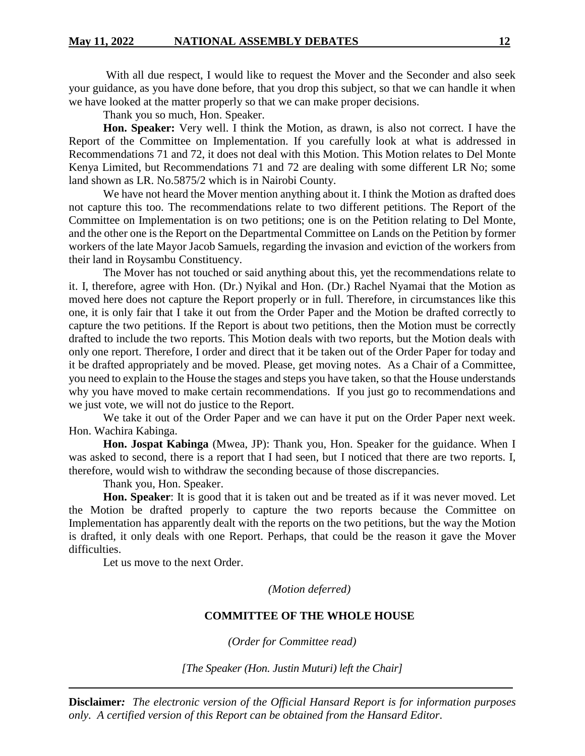With all due respect, I would like to request the Mover and the Seconder and also seek your guidance, as you have done before, that you drop this subject, so that we can handle it when we have looked at the matter properly so that we can make proper decisions.

Thank you so much, Hon. Speaker.

**Hon. Speaker:** Very well. I think the Motion, as drawn, is also not correct. I have the Report of the Committee on Implementation. If you carefully look at what is addressed in Recommendations 71 and 72, it does not deal with this Motion. This Motion relates to Del Monte Kenya Limited, but Recommendations 71 and 72 are dealing with some different LR No; some land shown as LR. No.5875/2 which is in Nairobi County.

We have not heard the Mover mention anything about it. I think the Motion as drafted does not capture this too. The recommendations relate to two different petitions. The Report of the Committee on Implementation is on two petitions; one is on the Petition relating to Del Monte, and the other one is the Report on the Departmental Committee on Lands on the Petition by former workers of the late Mayor Jacob Samuels, regarding the invasion and eviction of the workers from their land in Roysambu Constituency.

The Mover has not touched or said anything about this, yet the recommendations relate to it. I, therefore, agree with Hon. (Dr.) Nyikal and Hon. (Dr.) Rachel Nyamai that the Motion as moved here does not capture the Report properly or in full. Therefore, in circumstances like this one, it is only fair that I take it out from the Order Paper and the Motion be drafted correctly to capture the two petitions. If the Report is about two petitions, then the Motion must be correctly drafted to include the two reports. This Motion deals with two reports, but the Motion deals with only one report. Therefore, I order and direct that it be taken out of the Order Paper for today and it be drafted appropriately and be moved. Please, get moving notes. As a Chair of a Committee, you need to explain to the House the stages and steps you have taken, so that the House understands why you have moved to make certain recommendations. If you just go to recommendations and we just vote, we will not do justice to the Report.

We take it out of the Order Paper and we can have it put on the Order Paper next week. Hon. Wachira Kabinga.

**Hon. Jospat Kabinga** (Mwea, JP): Thank you, Hon. Speaker for the guidance. When I was asked to second, there is a report that I had seen, but I noticed that there are two reports. I, therefore, would wish to withdraw the seconding because of those discrepancies.

Thank you, Hon. Speaker.

**Hon. Speaker**: It is good that it is taken out and be treated as if it was never moved. Let the Motion be drafted properly to capture the two reports because the Committee on Implementation has apparently dealt with the reports on the two petitions, but the way the Motion is drafted, it only deals with one Report. Perhaps, that could be the reason it gave the Mover difficulties.

Let us move to the next Order.

*(Motion deferred)*

#### **COMMITTEE OF THE WHOLE HOUSE**

*(Order for Committee read)*

*[The Speaker (Hon. Justin Muturi) left the Chair]*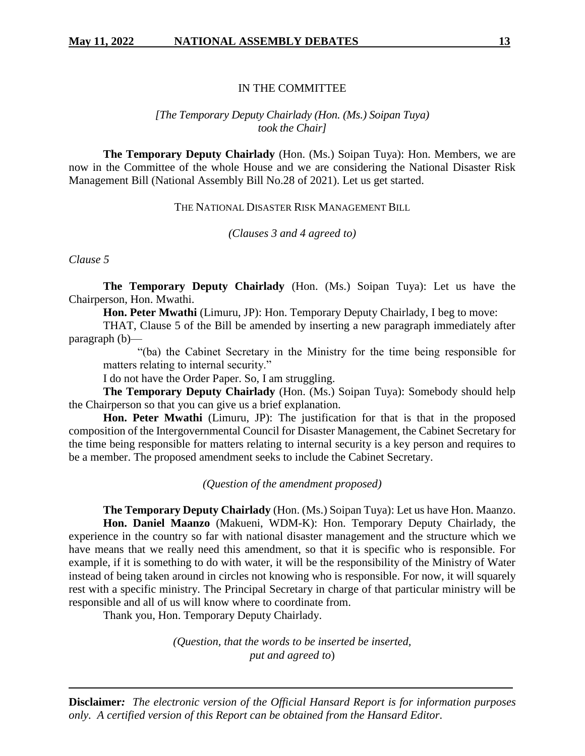#### IN THE COMMITTEE

#### *[The Temporary Deputy Chairlady (Hon. (Ms.) Soipan Tuya) took the Chair]*

**The Temporary Deputy Chairlady** (Hon. (Ms.) Soipan Tuya): Hon. Members, we are now in the Committee of the whole House and we are considering the National Disaster Risk Management Bill (National Assembly Bill No.28 of 2021). Let us get started.

THE NATIONAL DISASTER RISK MANAGEMENT BILL

*(Clauses 3 and 4 agreed to)*

*Clause 5*

**The Temporary Deputy Chairlady** (Hon. (Ms.) Soipan Tuya): Let us have the Chairperson, Hon. Mwathi.

**Hon. Peter Mwathi** (Limuru, JP): Hon. Temporary Deputy Chairlady, I beg to move:

THAT, Clause 5 of the Bill be amended by inserting a new paragraph immediately after paragraph (b)—

"(ba) the Cabinet Secretary in the Ministry for the time being responsible for matters relating to internal security."

I do not have the Order Paper. So, I am struggling.

**The Temporary Deputy Chairlady** (Hon. (Ms.) Soipan Tuya): Somebody should help the Chairperson so that you can give us a brief explanation.

**Hon. Peter Mwathi** (Limuru, JP): The justification for that is that in the proposed composition of the Intergovernmental Council for Disaster Management, the Cabinet Secretary for the time being responsible for matters relating to internal security is a key person and requires to be a member. The proposed amendment seeks to include the Cabinet Secretary.

*(Question of the amendment proposed)*

**The Temporary Deputy Chairlady** (Hon. (Ms.) Soipan Tuya): Let us have Hon. Maanzo. **Hon. Daniel Maanzo** (Makueni, WDM-K): Hon. Temporary Deputy Chairlady, the experience in the country so far with national disaster management and the structure which we have means that we really need this amendment, so that it is specific who is responsible. For example, if it is something to do with water, it will be the responsibility of the Ministry of Water instead of being taken around in circles not knowing who is responsible. For now, it will squarely rest with a specific ministry. The Principal Secretary in charge of that particular ministry will be responsible and all of us will know where to coordinate from.

Thank you, Hon. Temporary Deputy Chairlady.

*(Question, that the words to be inserted be inserted, put and agreed to*)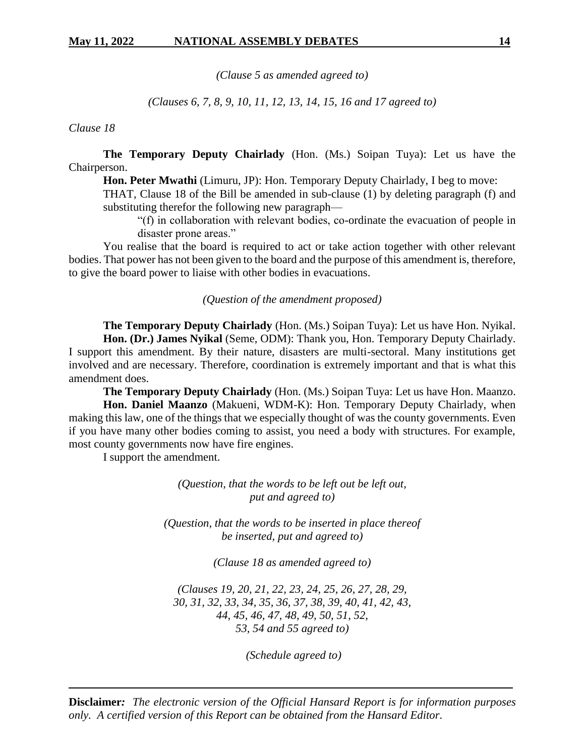*(Clause 5 as amended agreed to)*

*(Clauses 6, 7, 8, 9, 10, 11, 12, 13, 14, 15, 16 and 17 agreed to)*

*Clause 18*

**The Temporary Deputy Chairlady** (Hon. (Ms.) Soipan Tuya): Let us have the Chairperson.

**Hon. Peter Mwathi** (Limuru, JP): Hon. Temporary Deputy Chairlady, I beg to move:

THAT, Clause 18 of the Bill be amended in sub-clause (1) by deleting paragraph (f) and substituting therefor the following new paragraph—

"(f) in collaboration with relevant bodies, co-ordinate the evacuation of people in disaster prone areas."

You realise that the board is required to act or take action together with other relevant bodies. That power has not been given to the board and the purpose of this amendment is, therefore, to give the board power to liaise with other bodies in evacuations.

*(Question of the amendment proposed)*

**The Temporary Deputy Chairlady** (Hon. (Ms.) Soipan Tuya): Let us have Hon. Nyikal. **Hon. (Dr.) James Nyikal** (Seme, ODM): Thank you, Hon. Temporary Deputy Chairlady. I support this amendment. By their nature, disasters are multi-sectoral. Many institutions get involved and are necessary. Therefore, coordination is extremely important and that is what this amendment does.

**The Temporary Deputy Chairlady** (Hon. (Ms.) Soipan Tuya: Let us have Hon. Maanzo. **Hon. Daniel Maanzo** (Makueni, WDM-K): Hon. Temporary Deputy Chairlady, when making this law, one of the things that we especially thought of was the county governments. Even if you have many other bodies coming to assist, you need a body with structures. For example, most county governments now have fire engines.

I support the amendment.

*(Question, that the words to be left out be left out, put and agreed to)*

*(Question, that the words to be inserted in place thereof be inserted, put and agreed to)*

*(Clause 18 as amended agreed to)*

*(Clauses 19, 20, 21, 22, 23, 24, 25, 26, 27, 28, 29, 30, 31, 32, 33, 34, 35, 36, 37, 38, 39, 40, 41, 42, 43, 44, 45, 46, 47, 48, 49, 50, 51, 52, 53, 54 and 55 agreed to)*

*(Schedule agreed to)*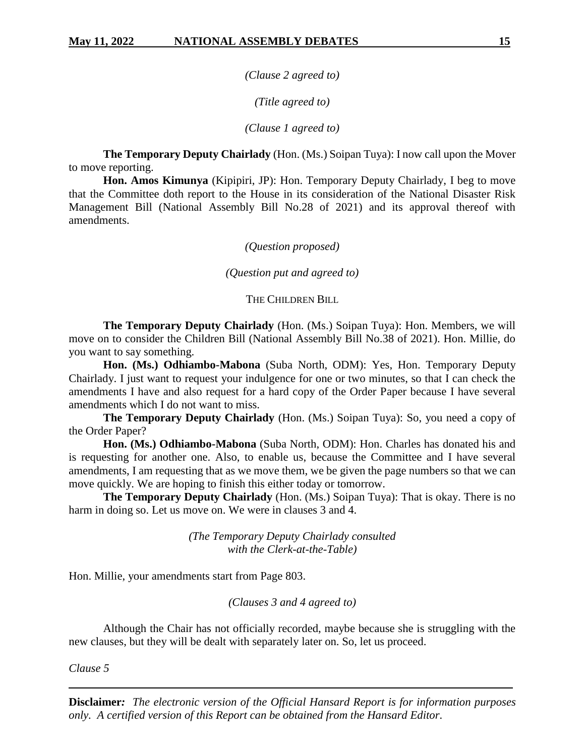*(Clause 2 agreed to)*

*(Title agreed to)*

*(Clause 1 agreed to)*

**The Temporary Deputy Chairlady** (Hon. (Ms.) Soipan Tuya): I now call upon the Mover to move reporting.

**Hon. Amos Kimunya** (Kipipiri, JP): Hon. Temporary Deputy Chairlady, I beg to move that the Committee doth report to the House in its consideration of the National Disaster Risk Management Bill (National Assembly Bill No.28 of 2021) and its approval thereof with amendments.

*(Question proposed)*

*(Question put and agreed to)*

THE CHILDREN BILL

**The Temporary Deputy Chairlady** (Hon. (Ms.) Soipan Tuya): Hon. Members, we will move on to consider the Children Bill (National Assembly Bill No.38 of 2021). Hon. Millie, do you want to say something.

**Hon. (Ms.) Odhiambo-Mabona** (Suba North, ODM): Yes, Hon. Temporary Deputy Chairlady. I just want to request your indulgence for one or two minutes, so that I can check the amendments I have and also request for a hard copy of the Order Paper because I have several amendments which I do not want to miss.

**The Temporary Deputy Chairlady** (Hon. (Ms.) Soipan Tuya): So, you need a copy of the Order Paper?

**Hon. (Ms.) Odhiambo-Mabona** (Suba North, ODM): Hon. Charles has donated his and is requesting for another one. Also, to enable us, because the Committee and I have several amendments, I am requesting that as we move them, we be given the page numbers so that we can move quickly. We are hoping to finish this either today or tomorrow.

**The Temporary Deputy Chairlady** (Hon. (Ms.) Soipan Tuya): That is okay. There is no harm in doing so. Let us move on. We were in clauses 3 and 4.

> *(The Temporary Deputy Chairlady consulted with the Clerk-at-the-Table)*

Hon. Millie, your amendments start from Page 803.

*(Clauses 3 and 4 agreed to)*

Although the Chair has not officially recorded, maybe because she is struggling with the new clauses, but they will be dealt with separately later on. So, let us proceed.

*Clause 5*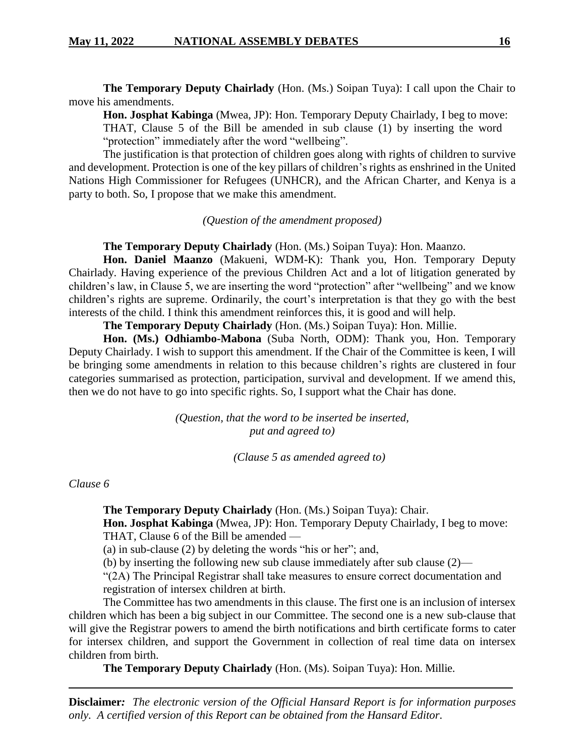**The Temporary Deputy Chairlady** (Hon. (Ms.) Soipan Tuya): I call upon the Chair to move his amendments.

**Hon. Josphat Kabinga** (Mwea, JP): Hon. Temporary Deputy Chairlady, I beg to move: THAT, Clause 5 of the Bill be amended in sub clause (1) by inserting the word "protection" immediately after the word "wellbeing".

The justification is that protection of children goes along with rights of children to survive and development. Protection is one of the key pillars of children's rights as enshrined in the United Nations High Commissioner for Refugees (UNHCR), and the African Charter, and Kenya is a party to both. So, I propose that we make this amendment.

## *(Question of the amendment proposed)*

**The Temporary Deputy Chairlady** (Hon. (Ms.) Soipan Tuya): Hon. Maanzo.

**Hon. Daniel Maanzo** (Makueni, WDM-K): Thank you, Hon. Temporary Deputy Chairlady. Having experience of the previous Children Act and a lot of litigation generated by children's law, in Clause 5, we are inserting the word "protection" after "wellbeing" and we know children's rights are supreme. Ordinarily, the court's interpretation is that they go with the best interests of the child. I think this amendment reinforces this, it is good and will help.

**The Temporary Deputy Chairlady** (Hon. (Ms.) Soipan Tuya): Hon. Millie.

**Hon. (Ms.) Odhiambo-Mabona** (Suba North, ODM): Thank you, Hon. Temporary Deputy Chairlady. I wish to support this amendment. If the Chair of the Committee is keen, I will be bringing some amendments in relation to this because children's rights are clustered in four categories summarised as protection, participation, survival and development. If we amend this, then we do not have to go into specific rights. So, I support what the Chair has done.

> *(Question, that the word to be inserted be inserted, put and agreed to)*

> > *(Clause 5 as amended agreed to)*

## *Clause 6*

**The Temporary Deputy Chairlady** (Hon. (Ms.) Soipan Tuya): Chair.

**Hon. Josphat Kabinga** (Mwea, JP): Hon. Temporary Deputy Chairlady, I beg to move: THAT, Clause 6 of the Bill be amended —

(a) in sub-clause (2) by deleting the words "his or her"; and,

(b) by inserting the following new sub clause immediately after sub clause (2)—

"(2A) The Principal Registrar shall take measures to ensure correct documentation and registration of intersex children at birth.

The Committee has two amendments in this clause. The first one is an inclusion of intersex children which has been a big subject in our Committee. The second one is a new sub-clause that will give the Registrar powers to amend the birth notifications and birth certificate forms to cater for intersex children, and support the Government in collection of real time data on intersex children from birth.

**The Temporary Deputy Chairlady** (Hon. (Ms). Soipan Tuya): Hon. Millie.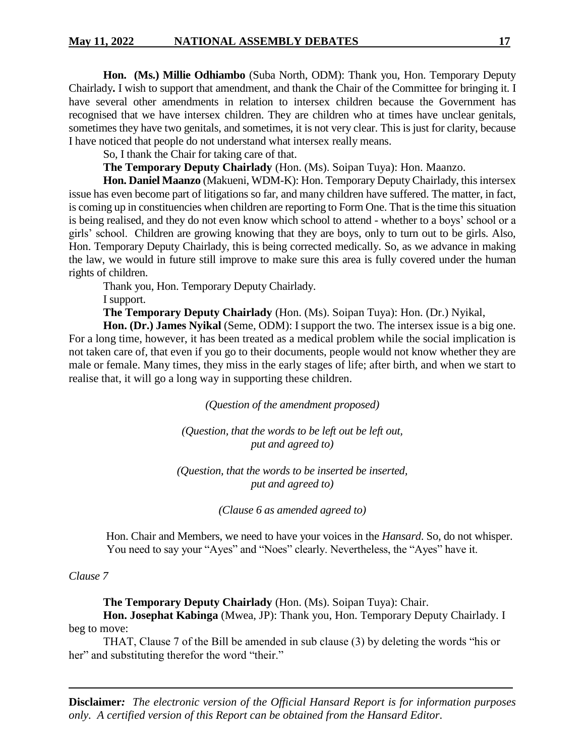**Hon. (Ms.) Millie Odhiambo** (Suba North, ODM): Thank you, Hon. Temporary Deputy Chairlady**.** I wish to support that amendment, and thank the Chair of the Committee for bringing it. I have several other amendments in relation to intersex children because the Government has recognised that we have intersex children. They are children who at times have unclear genitals, sometimes they have two genitals, and sometimes, it is not very clear. This is just for clarity, because I have noticed that people do not understand what intersex really means.

So, I thank the Chair for taking care of that.

**The Temporary Deputy Chairlady** (Hon. (Ms). Soipan Tuya): Hon. Maanzo.

**Hon. Daniel Maanzo** (Makueni, WDM-K): Hon. Temporary Deputy Chairlady, this intersex issue has even become part of litigations so far, and many children have suffered. The matter, in fact, is coming up in constituencies when children are reporting to Form One. That is the time this situation is being realised, and they do not even know which school to attend - whether to a boys' school or a girls' school. Children are growing knowing that they are boys, only to turn out to be girls. Also, Hon. Temporary Deputy Chairlady, this is being corrected medically. So, as we advance in making the law, we would in future still improve to make sure this area is fully covered under the human rights of children.

Thank you, Hon. Temporary Deputy Chairlady.

I support.

**The Temporary Deputy Chairlady** (Hon. (Ms). Soipan Tuya): Hon. (Dr.) Nyikal,

**Hon. (Dr.) James Nyikal** (Seme, ODM): I support the two. The intersex issue is a big one. For a long time, however, it has been treated as a medical problem while the social implication is not taken care of, that even if you go to their documents, people would not know whether they are male or female. Many times, they miss in the early stages of life; after birth, and when we start to realise that, it will go a long way in supporting these children.

*(Question of the amendment proposed)*

*(Question, that the words to be left out be left out, put and agreed to)*

*(Question, that the words to be inserted be inserted, put and agreed to)*

*(Clause 6 as amended agreed to)*

Hon. Chair and Members, we need to have your voices in the *Hansard*. So, do not whisper. You need to say your "Ayes" and "Noes" clearly. Nevertheless, the "Ayes" have it.

#### *Clause 7*

**The Temporary Deputy Chairlady** (Hon. (Ms). Soipan Tuya): Chair.

**Hon. Josephat Kabinga** (Mwea, JP): Thank you, Hon. Temporary Deputy Chairlady. I beg to move:

THAT, Clause 7 of the Bill be amended in sub clause (3) by deleting the words "his or her" and substituting therefor the word "their."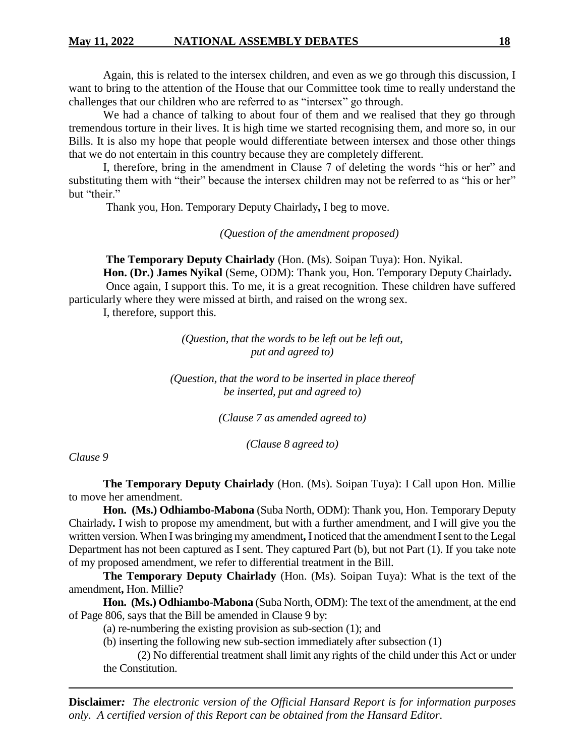Again, this is related to the intersex children, and even as we go through this discussion, I want to bring to the attention of the House that our Committee took time to really understand the challenges that our children who are referred to as "intersex" go through.

We had a chance of talking to about four of them and we realised that they go through tremendous torture in their lives. It is high time we started recognising them, and more so, in our Bills. It is also my hope that people would differentiate between intersex and those other things that we do not entertain in this country because they are completely different.

I, therefore, bring in the amendment in Clause 7 of deleting the words "his or her" and substituting them with "their" because the intersex children may not be referred to as "his or her" but "their."

Thank you, Hon. Temporary Deputy Chairlady**,** I beg to move.

*(Question of the amendment proposed)*

**The Temporary Deputy Chairlady** (Hon. (Ms). Soipan Tuya): Hon. Nyikal. **Hon. (Dr.) James Nyikal** (Seme, ODM): Thank you, Hon. Temporary Deputy Chairlady**.**

Once again, I support this. To me, it is a great recognition. These children have suffered particularly where they were missed at birth, and raised on the wrong sex.

I, therefore, support this.

*(Question, that the words to be left out be left out, put and agreed to)*

*(Question, that the word to be inserted in place thereof be inserted, put and agreed to)*

*(Clause 7 as amended agreed to)*

*(Clause 8 agreed to)*

*Clause 9*

**The Temporary Deputy Chairlady** (Hon. (Ms). Soipan Tuya): I Call upon Hon. Millie to move her amendment.

**Hon. (Ms.) Odhiambo-Mabona** (Suba North, ODM): Thank you, Hon. Temporary Deputy Chairlady**.** I wish to propose my amendment, but with a further amendment, and I will give you the written version. When I was bringing my amendment**,** I noticed that the amendment I sent to the Legal Department has not been captured as I sent. They captured Part (b), but not Part (1). If you take note of my proposed amendment, we refer to differential treatment in the Bill.

**The Temporary Deputy Chairlady** (Hon. (Ms). Soipan Tuya): What is the text of the amendment**,** Hon. Millie?

**Hon. (Ms.) Odhiambo-Mabona** (Suba North, ODM): The text of the amendment, at the end of Page 806, says that the Bill be amended in Clause 9 by:

(a) re-numbering the existing provision as sub-section (1); and

(b) inserting the following new sub-section immediately after subsection (1)

(2) No differential treatment shall limit any rights of the child under this Act or under the Constitution.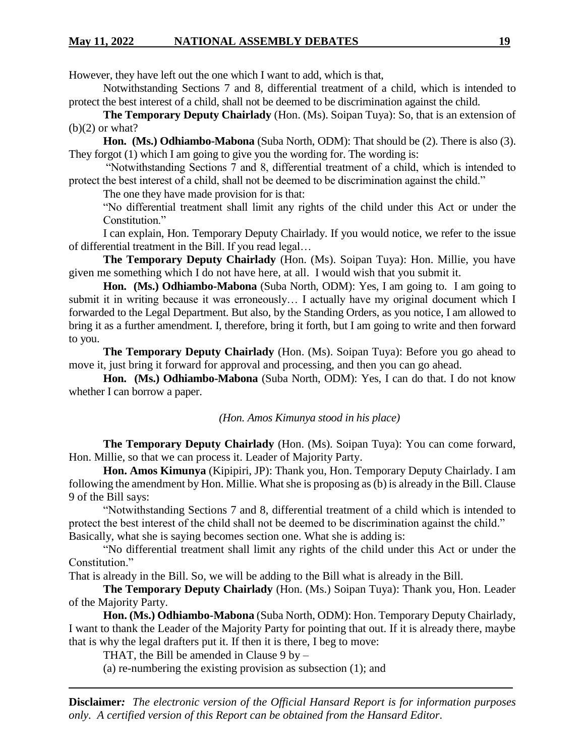## **May 11, 2022 NATIONAL ASSEMBLY DEBATES 19**

However, they have left out the one which I want to add, which is that,

Notwithstanding Sections 7 and 8, differential treatment of a child, which is intended to protect the best interest of a child, shall not be deemed to be discrimination against the child.

**The Temporary Deputy Chairlady** (Hon. (Ms). Soipan Tuya): So, that is an extension of  $(b)(2)$  or what?

**Hon. (Ms.) Odhiambo-Mabona** (Suba North, ODM): That should be (2). There is also (3). They forgot (1) which I am going to give you the wording for. The wording is:

"Notwithstanding Sections 7 and 8, differential treatment of a child, which is intended to protect the best interest of a child, shall not be deemed to be discrimination against the child."

The one they have made provision for is that:

"No differential treatment shall limit any rights of the child under this Act or under the Constitution."

I can explain, Hon. Temporary Deputy Chairlady. If you would notice, we refer to the issue of differential treatment in the Bill. If you read legal…

**The Temporary Deputy Chairlady** (Hon. (Ms). Soipan Tuya): Hon. Millie, you have given me something which I do not have here, at all. I would wish that you submit it.

**Hon. (Ms.) Odhiambo-Mabona** (Suba North, ODM): Yes, I am going to. I am going to submit it in writing because it was erroneously… I actually have my original document which I forwarded to the Legal Department. But also, by the Standing Orders, as you notice, I am allowed to bring it as a further amendment. I, therefore, bring it forth, but I am going to write and then forward to you.

**The Temporary Deputy Chairlady** (Hon. (Ms). Soipan Tuya): Before you go ahead to move it, just bring it forward for approval and processing, and then you can go ahead.

**Hon. (Ms.) Odhiambo-Mabona** (Suba North, ODM): Yes, I can do that. I do not know whether I can borrow a paper.

#### *(Hon. Amos Kimunya stood in his place)*

**The Temporary Deputy Chairlady** (Hon. (Ms). Soipan Tuya): You can come forward, Hon. Millie, so that we can process it. Leader of Majority Party.

**Hon. Amos Kimunya** (Kipipiri, JP): Thank you, Hon. Temporary Deputy Chairlady. I am following the amendment by Hon. Millie. What she is proposing as (b) is already in the Bill. Clause 9 of the Bill says:

"Notwithstanding Sections 7 and 8, differential treatment of a child which is intended to protect the best interest of the child shall not be deemed to be discrimination against the child." Basically, what she is saying becomes section one. What she is adding is:

"No differential treatment shall limit any rights of the child under this Act or under the Constitution."

That is already in the Bill. So, we will be adding to the Bill what is already in the Bill.

**The Temporary Deputy Chairlady** (Hon. (Ms.) Soipan Tuya): Thank you, Hon. Leader of the Majority Party.

**Hon. (Ms.) Odhiambo-Mabona** (Suba North, ODM): Hon. Temporary Deputy Chairlady, I want to thank the Leader of the Majority Party for pointing that out. If it is already there, maybe that is why the legal drafters put it. If then it is there, I beg to move:

THAT, the Bill be amended in Clause  $9$  by  $-$ 

(a) re-numbering the existing provision as subsection (1); and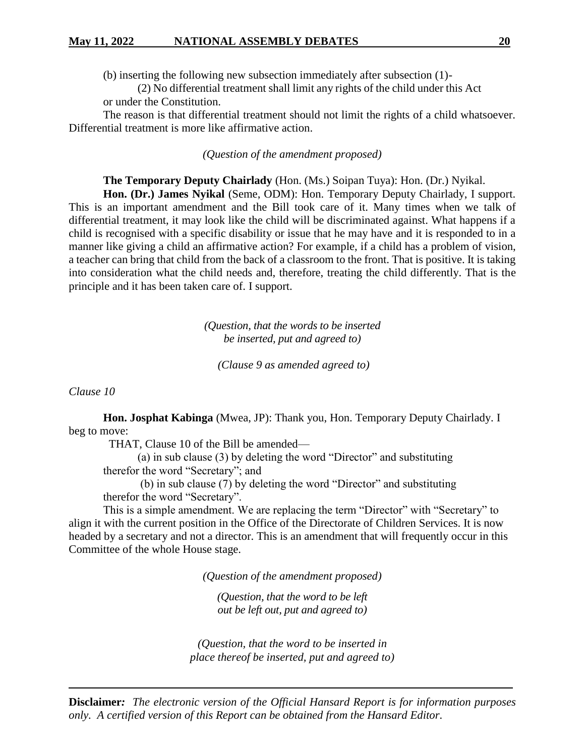(b) inserting the following new subsection immediately after subsection (1)-

(2) No differential treatment shall limit any rights of the child under this Act or under the Constitution.

The reason is that differential treatment should not limit the rights of a child whatsoever. Differential treatment is more like affirmative action.

*(Question of the amendment proposed)*

**The Temporary Deputy Chairlady** (Hon. (Ms.) Soipan Tuya): Hon. (Dr.) Nyikal.

**Hon. (Dr.) James Nyikal** (Seme, ODM): Hon. Temporary Deputy Chairlady, I support. This is an important amendment and the Bill took care of it. Many times when we talk of differential treatment, it may look like the child will be discriminated against. What happens if a child is recognised with a specific disability or issue that he may have and it is responded to in a manner like giving a child an affirmative action? For example, if a child has a problem of vision, a teacher can bring that child from the back of a classroom to the front. That is positive. It is taking into consideration what the child needs and, therefore, treating the child differently. That is the principle and it has been taken care of. I support.

> *(Question, that the words to be inserted be inserted, put and agreed to)*

*(Clause 9 as amended agreed to)*

*Clause 10*

**Hon. Josphat Kabinga** (Mwea, JP): Thank you, Hon. Temporary Deputy Chairlady. I beg to move:

THAT, Clause 10 of the Bill be amended—

(a) in sub clause (3) by deleting the word "Director" and substituting therefor the word "Secretary"; and

(b) in sub clause (7) by deleting the word "Director" and substituting therefor the word "Secretary".

This is a simple amendment. We are replacing the term "Director" with "Secretary" to align it with the current position in the Office of the Directorate of Children Services. It is now headed by a secretary and not a director. This is an amendment that will frequently occur in this Committee of the whole House stage.

*(Question of the amendment proposed)*

*(Question, that the word to be left out be left out, put and agreed to)*

*(Question, that the word to be inserted in place thereof be inserted, put and agreed to)*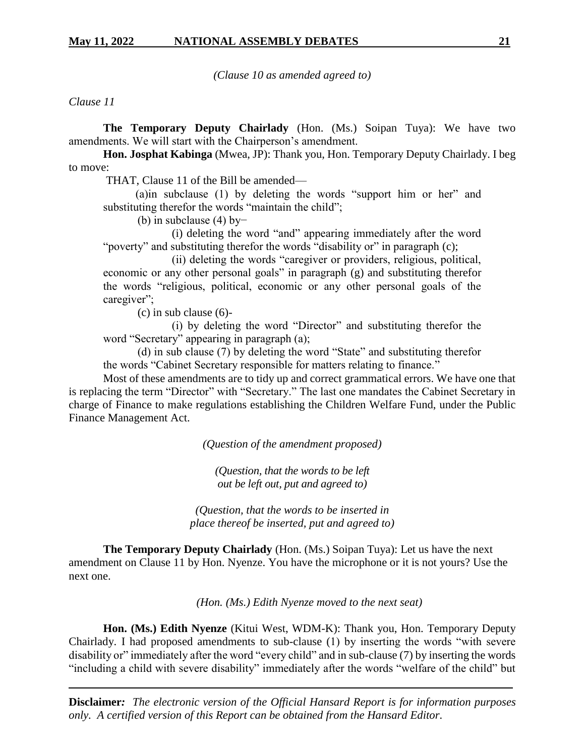*(Clause 10 as amended agreed to)*

*Clause 11*

**The Temporary Deputy Chairlady** (Hon. (Ms.) Soipan Tuya): We have two amendments. We will start with the Chairperson's amendment.

**Hon. Josphat Kabinga** (Mwea, JP): Thank you, Hon. Temporary Deputy Chairlady. I beg to move:

THAT, Clause 11 of the Bill be amended—

(a)in subclause (1) by deleting the words "support him or her" and substituting therefor the words "maintain the child";

(b) in subclause (4) by−

(i) deleting the word "and" appearing immediately after the word "poverty" and substituting therefor the words "disability or" in paragraph (c);

(ii) deleting the words "caregiver or providers, religious, political, economic or any other personal goals" in paragraph (g) and substituting therefor the words "religious, political, economic or any other personal goals of the caregiver";

(c) in sub clause (6)-

(i) by deleting the word "Director" and substituting therefor the word "Secretary" appearing in paragraph (a);

(d) in sub clause (7) by deleting the word "State" and substituting therefor the words "Cabinet Secretary responsible for matters relating to finance."

Most of these amendments are to tidy up and correct grammatical errors. We have one that is replacing the term "Director" with "Secretary." The last one mandates the Cabinet Secretary in charge of Finance to make regulations establishing the Children Welfare Fund, under the Public Finance Management Act.

*(Question of the amendment proposed)*

*(Question, that the words to be left out be left out, put and agreed to)*

*(Question, that the words to be inserted in place thereof be inserted, put and agreed to)*

**The Temporary Deputy Chairlady** (Hon. (Ms.) Soipan Tuya): Let us have the next amendment on Clause 11 by Hon. Nyenze. You have the microphone or it is not yours? Use the next one.

*(Hon. (Ms.) Edith Nyenze moved to the next seat)*

**Hon. (Ms.) Edith Nyenze** (Kitui West, WDM-K): Thank you, Hon. Temporary Deputy Chairlady. I had proposed amendments to sub-clause (1) by inserting the words "with severe disability or" immediately after the word "every child" and in sub-clause (7) by inserting the words "including a child with severe disability" immediately after the words "welfare of the child" but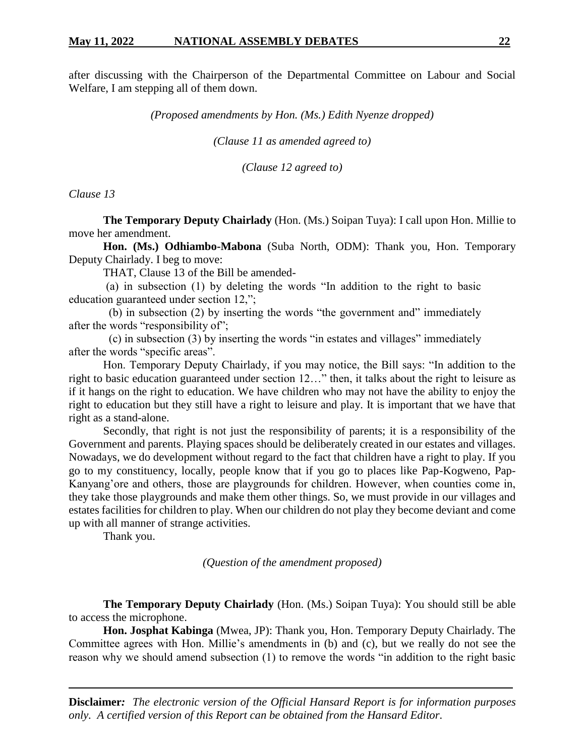after discussing with the Chairperson of the Departmental Committee on Labour and Social Welfare, I am stepping all of them down.

*(Proposed amendments by Hon. (Ms.) Edith Nyenze dropped)*

*(Clause 11 as amended agreed to)*

*(Clause 12 agreed to)*

*Clause 13*

**The Temporary Deputy Chairlady** (Hon. (Ms.) Soipan Tuya): I call upon Hon. Millie to move her amendment.

**Hon. (Ms.) Odhiambo-Mabona** (Suba North, ODM): Thank you, Hon. Temporary Deputy Chairlady. I beg to move:

THAT, Clause 13 of the Bill be amended-

 (a) in subsection (1) by deleting the words "In addition to the right to basic education guaranteed under section 12,";

 (b) in subsection (2) by inserting the words "the government and" immediately after the words "responsibility of";

 (c) in subsection (3) by inserting the words "in estates and villages" immediately after the words "specific areas".

Hon. Temporary Deputy Chairlady, if you may notice, the Bill says: "In addition to the right to basic education guaranteed under section 12…" then, it talks about the right to leisure as if it hangs on the right to education. We have children who may not have the ability to enjoy the right to education but they still have a right to leisure and play. It is important that we have that right as a stand-alone.

Secondly, that right is not just the responsibility of parents; it is a responsibility of the Government and parents. Playing spaces should be deliberately created in our estates and villages. Nowadays, we do development without regard to the fact that children have a right to play. If you go to my constituency, locally, people know that if you go to places like Pap-Kogweno, Pap-Kanyang'ore and others, those are playgrounds for children. However, when counties come in, they take those playgrounds and make them other things. So, we must provide in our villages and estates facilities for children to play. When our children do not play they become deviant and come up with all manner of strange activities.

Thank you.

*(Question of the amendment proposed)*

**The Temporary Deputy Chairlady** (Hon. (Ms.) Soipan Tuya): You should still be able to access the microphone.

**Hon. Josphat Kabinga** (Mwea, JP): Thank you, Hon. Temporary Deputy Chairlady. The Committee agrees with Hon. Millie's amendments in (b) and (c), but we really do not see the reason why we should amend subsection (1) to remove the words "in addition to the right basic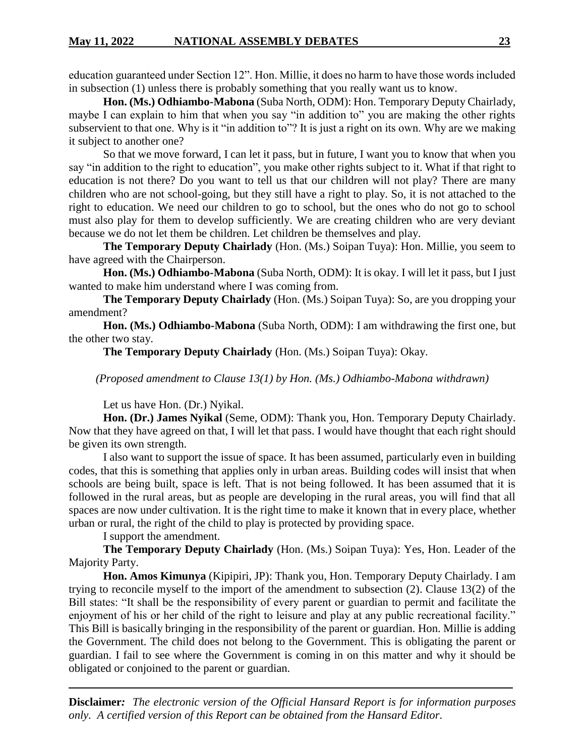education guaranteed under Section 12". Hon. Millie, it does no harm to have those words included in subsection (1) unless there is probably something that you really want us to know.

**Hon. (Ms.) Odhiambo-Mabona** (Suba North, ODM): Hon. Temporary Deputy Chairlady, maybe I can explain to him that when you say "in addition to" you are making the other rights subservient to that one. Why is it "in addition to"? It is just a right on its own. Why are we making it subject to another one?

So that we move forward, I can let it pass, but in future, I want you to know that when you say "in addition to the right to education", you make other rights subject to it. What if that right to education is not there? Do you want to tell us that our children will not play? There are many children who are not school-going, but they still have a right to play. So, it is not attached to the right to education. We need our children to go to school, but the ones who do not go to school must also play for them to develop sufficiently. We are creating children who are very deviant because we do not let them be children. Let children be themselves and play.

**The Temporary Deputy Chairlady** (Hon. (Ms.) Soipan Tuya): Hon. Millie, you seem to have agreed with the Chairperson.

**Hon. (Ms.) Odhiambo-Mabona** (Suba North, ODM): It is okay. I will let it pass, but I just wanted to make him understand where I was coming from.

**The Temporary Deputy Chairlady** (Hon. (Ms.) Soipan Tuya): So, are you dropping your amendment?

**Hon. (Ms.) Odhiambo-Mabona** (Suba North, ODM): I am withdrawing the first one, but the other two stay.

**The Temporary Deputy Chairlady** (Hon. (Ms.) Soipan Tuya): Okay.

*(Proposed amendment to Clause 13(1) by Hon. (Ms.) Odhiambo-Mabona withdrawn)*

Let us have Hon. (Dr.) Nyikal.

**Hon. (Dr.) James Nyikal** (Seme, ODM): Thank you, Hon. Temporary Deputy Chairlady. Now that they have agreed on that, I will let that pass. I would have thought that each right should be given its own strength.

I also want to support the issue of space. It has been assumed, particularly even in building codes, that this is something that applies only in urban areas. Building codes will insist that when schools are being built, space is left. That is not being followed. It has been assumed that it is followed in the rural areas, but as people are developing in the rural areas, you will find that all spaces are now under cultivation. It is the right time to make it known that in every place, whether urban or rural, the right of the child to play is protected by providing space.

I support the amendment.

**The Temporary Deputy Chairlady** (Hon. (Ms.) Soipan Tuya): Yes, Hon. Leader of the Majority Party.

**Hon. Amos Kimunya** (Kipipiri, JP): Thank you, Hon. Temporary Deputy Chairlady. I am trying to reconcile myself to the import of the amendment to subsection (2). Clause 13(2) of the Bill states: "It shall be the responsibility of every parent or guardian to permit and facilitate the enjoyment of his or her child of the right to leisure and play at any public recreational facility." This Bill is basically bringing in the responsibility of the parent or guardian. Hon. Millie is adding the Government. The child does not belong to the Government. This is obligating the parent or guardian. I fail to see where the Government is coming in on this matter and why it should be obligated or conjoined to the parent or guardian.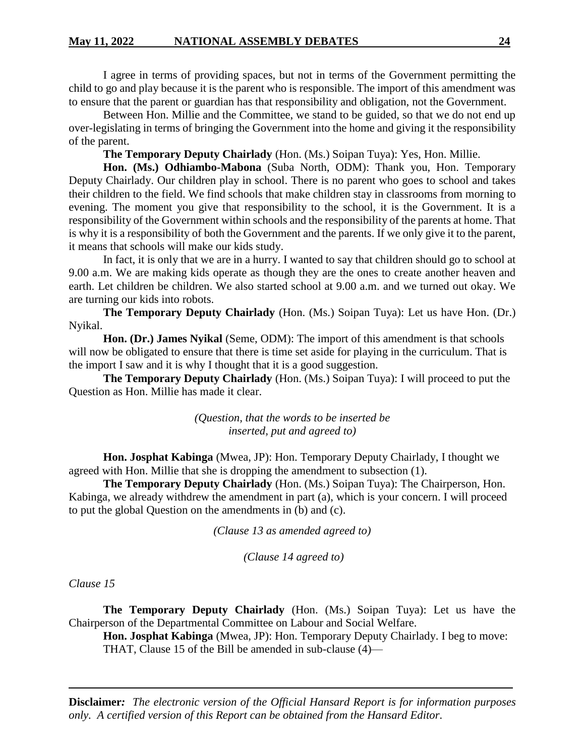I agree in terms of providing spaces, but not in terms of the Government permitting the child to go and play because it is the parent who is responsible. The import of this amendment was to ensure that the parent or guardian has that responsibility and obligation, not the Government.

Between Hon. Millie and the Committee, we stand to be guided, so that we do not end up over-legislating in terms of bringing the Government into the home and giving it the responsibility of the parent.

**The Temporary Deputy Chairlady** (Hon. (Ms.) Soipan Tuya): Yes, Hon. Millie.

**Hon. (Ms.) Odhiambo-Mabona** (Suba North, ODM): Thank you, Hon. Temporary Deputy Chairlady. Our children play in school. There is no parent who goes to school and takes their children to the field. We find schools that make children stay in classrooms from morning to evening. The moment you give that responsibility to the school, it is the Government. It is a responsibility of the Government within schools and the responsibility of the parents at home. That is why it is a responsibility of both the Government and the parents. If we only give it to the parent, it means that schools will make our kids study.

In fact, it is only that we are in a hurry. I wanted to say that children should go to school at 9.00 a.m. We are making kids operate as though they are the ones to create another heaven and earth. Let children be children. We also started school at 9.00 a.m. and we turned out okay. We are turning our kids into robots.

**The Temporary Deputy Chairlady** (Hon. (Ms.) Soipan Tuya): Let us have Hon. (Dr.) Nyikal.

**Hon. (Dr.) James Nyikal** (Seme, ODM): The import of this amendment is that schools will now be obligated to ensure that there is time set aside for playing in the curriculum. That is the import I saw and it is why I thought that it is a good suggestion.

**The Temporary Deputy Chairlady** (Hon. (Ms.) Soipan Tuya): I will proceed to put the Question as Hon. Millie has made it clear.

> *(Question, that the words to be inserted be inserted, put and agreed to)*

**Hon. Josphat Kabinga** (Mwea, JP): Hon. Temporary Deputy Chairlady, I thought we agreed with Hon. Millie that she is dropping the amendment to subsection (1).

**The Temporary Deputy Chairlady** (Hon. (Ms.) Soipan Tuya): The Chairperson, Hon. Kabinga, we already withdrew the amendment in part (a), which is your concern. I will proceed to put the global Question on the amendments in (b) and (c).

*(Clause 13 as amended agreed to)*

*(Clause 14 agreed to)*

*Clause 15*

**The Temporary Deputy Chairlady** (Hon. (Ms.) Soipan Tuya): Let us have the Chairperson of the Departmental Committee on Labour and Social Welfare.

**Hon. Josphat Kabinga** (Mwea, JP): Hon. Temporary Deputy Chairlady. I beg to move: THAT, Clause 15 of the Bill be amended in sub-clause (4)—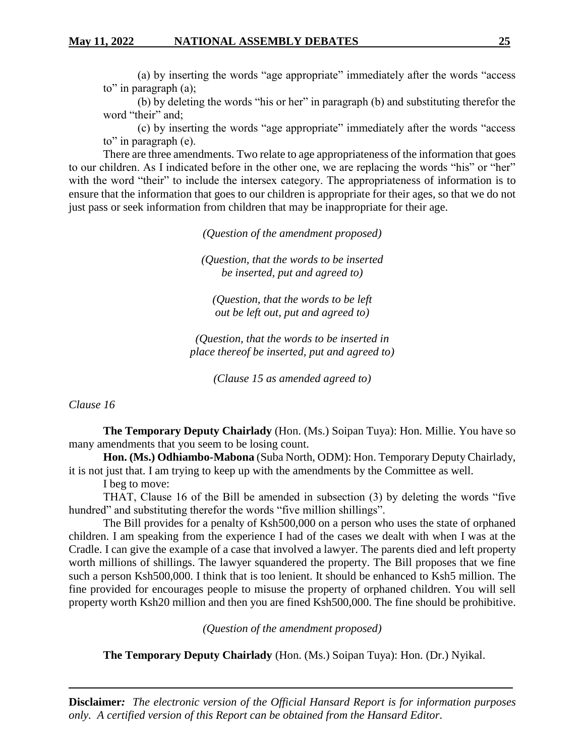(a) by inserting the words "age appropriate" immediately after the words "access to" in paragraph (a);

(b) by deleting the words "his or her" in paragraph (b) and substituting therefor the word "their" and;

(c) by inserting the words "age appropriate" immediately after the words "access to" in paragraph (e).

There are three amendments. Two relate to age appropriateness of the information that goes to our children. As I indicated before in the other one, we are replacing the words "his" or "her" with the word "their" to include the intersex category. The appropriateness of information is to ensure that the information that goes to our children is appropriate for their ages, so that we do not just pass or seek information from children that may be inappropriate for their age.

*(Question of the amendment proposed)*

*(Question, that the words to be inserted be inserted, put and agreed to)*

*(Question, that the words to be left out be left out, put and agreed to)*

*(Question, that the words to be inserted in place thereof be inserted, put and agreed to)*

*(Clause 15 as amended agreed to)*

*Clause 16*

**The Temporary Deputy Chairlady** (Hon. (Ms.) Soipan Tuya): Hon. Millie. You have so many amendments that you seem to be losing count.

**Hon. (Ms.) Odhiambo-Mabona** (Suba North, ODM): Hon. Temporary Deputy Chairlady, it is not just that. I am trying to keep up with the amendments by the Committee as well.

I beg to move:

THAT, Clause 16 of the Bill be amended in subsection (3) by deleting the words "five hundred" and substituting therefor the words "five million shillings".

The Bill provides for a penalty of Ksh500,000 on a person who uses the state of orphaned children. I am speaking from the experience I had of the cases we dealt with when I was at the Cradle. I can give the example of a case that involved a lawyer. The parents died and left property worth millions of shillings. The lawyer squandered the property. The Bill proposes that we fine such a person Ksh500,000. I think that is too lenient. It should be enhanced to Ksh5 million. The fine provided for encourages people to misuse the property of orphaned children. You will sell property worth Ksh20 million and then you are fined Ksh500,000. The fine should be prohibitive.

*(Question of the amendment proposed)*

**The Temporary Deputy Chairlady** (Hon. (Ms.) Soipan Tuya): Hon. (Dr.) Nyikal.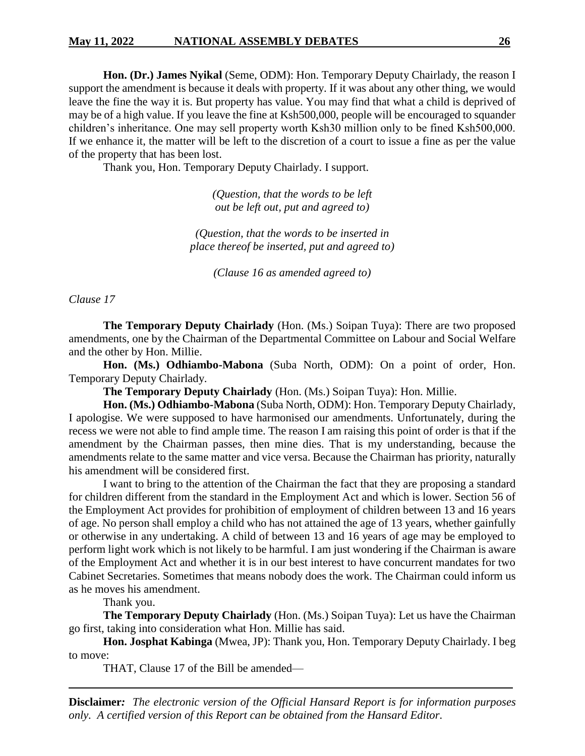### **May 11, 2022 NATIONAL ASSEMBLY DEBATES 26**

**Hon. (Dr.) James Nyikal** (Seme, ODM): Hon. Temporary Deputy Chairlady, the reason I support the amendment is because it deals with property. If it was about any other thing, we would leave the fine the way it is. But property has value. You may find that what a child is deprived of may be of a high value. If you leave the fine at Ksh500,000, people will be encouraged to squander children's inheritance. One may sell property worth Ksh30 million only to be fined Ksh500,000. If we enhance it, the matter will be left to the discretion of a court to issue a fine as per the value of the property that has been lost.

Thank you, Hon. Temporary Deputy Chairlady. I support.

*(Question, that the words to be left out be left out, put and agreed to)*

*(Question, that the words to be inserted in place thereof be inserted, put and agreed to)*

*(Clause 16 as amended agreed to)*

*Clause 17*

**The Temporary Deputy Chairlady** (Hon. (Ms.) Soipan Tuya): There are two proposed amendments, one by the Chairman of the Departmental Committee on Labour and Social Welfare and the other by Hon. Millie.

**Hon. (Ms.) Odhiambo-Mabona** (Suba North, ODM): On a point of order, Hon. Temporary Deputy Chairlady.

**The Temporary Deputy Chairlady** (Hon. (Ms.) Soipan Tuya): Hon. Millie.

**Hon. (Ms.) Odhiambo-Mabona** (Suba North, ODM): Hon. Temporary Deputy Chairlady, I apologise. We were supposed to have harmonised our amendments. Unfortunately, during the recess we were not able to find ample time. The reason I am raising this point of order is that if the amendment by the Chairman passes, then mine dies. That is my understanding, because the amendments relate to the same matter and vice versa. Because the Chairman has priority, naturally his amendment will be considered first.

I want to bring to the attention of the Chairman the fact that they are proposing a standard for children different from the standard in the Employment Act and which is lower. Section 56 of the Employment Act provides for prohibition of employment of children between 13 and 16 years of age. No person shall employ a child who has not attained the age of 13 years, whether gainfully or otherwise in any undertaking. A child of between 13 and 16 years of age may be employed to perform light work which is not likely to be harmful. I am just wondering if the Chairman is aware of the Employment Act and whether it is in our best interest to have concurrent mandates for two Cabinet Secretaries. Sometimes that means nobody does the work. The Chairman could inform us as he moves his amendment.

Thank you.

**The Temporary Deputy Chairlady** (Hon. (Ms.) Soipan Tuya): Let us have the Chairman go first, taking into consideration what Hon. Millie has said.

**Hon. Josphat Kabinga** (Mwea, JP): Thank you, Hon. Temporary Deputy Chairlady. I beg to move:

THAT, Clause 17 of the Bill be amended—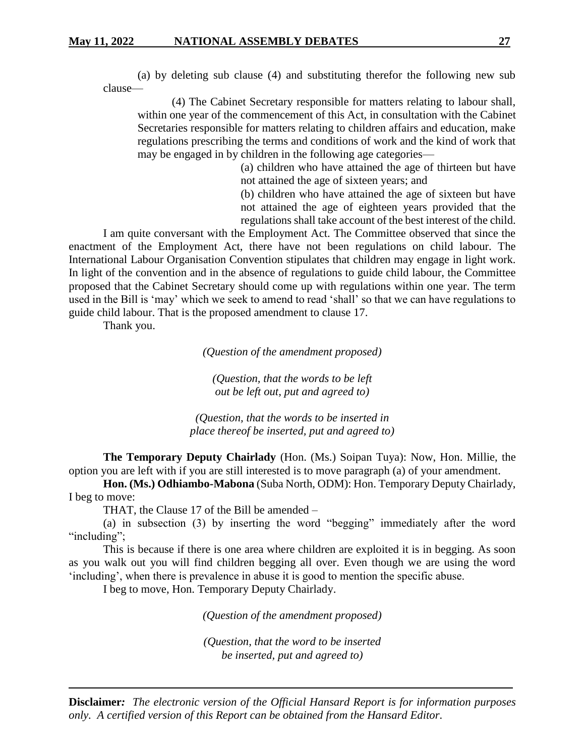(a) by deleting sub clause (4) and substituting therefor the following new sub clause—

(4) The Cabinet Secretary responsible for matters relating to labour shall, within one year of the commencement of this Act, in consultation with the Cabinet Secretaries responsible for matters relating to children affairs and education, make regulations prescribing the terms and conditions of work and the kind of work that may be engaged in by children in the following age categories—

> (a) children who have attained the age of thirteen but have not attained the age of sixteen years; and

> (b) children who have attained the age of sixteen but have not attained the age of eighteen years provided that the regulations shall take account of the best interest of the child.

I am quite conversant with the Employment Act. The Committee observed that since the enactment of the Employment Act, there have not been regulations on child labour. The International Labour Organisation Convention stipulates that children may engage in light work. In light of the convention and in the absence of regulations to guide child labour, the Committee proposed that the Cabinet Secretary should come up with regulations within one year. The term used in the Bill is 'may' which we seek to amend to read 'shall' so that we can have regulations to guide child labour. That is the proposed amendment to clause 17.

Thank you.

*(Question of the amendment proposed)*

*(Question, that the words to be left out be left out, put and agreed to)*

*(Question, that the words to be inserted in place thereof be inserted, put and agreed to)*

**The Temporary Deputy Chairlady** (Hon. (Ms.) Soipan Tuya): Now, Hon. Millie, the option you are left with if you are still interested is to move paragraph (a) of your amendment.

**Hon. (Ms.) Odhiambo-Mabona** (Suba North, ODM): Hon. Temporary Deputy Chairlady, I beg to move:

THAT, the Clause 17 of the Bill be amended –

(a) in subsection (3) by inserting the word "begging" immediately after the word "including":

This is because if there is one area where children are exploited it is in begging. As soon as you walk out you will find children begging all over. Even though we are using the word 'including', when there is prevalence in abuse it is good to mention the specific abuse.

I beg to move, Hon. Temporary Deputy Chairlady.

*(Question of the amendment proposed)*

*(Question, that the word to be inserted be inserted, put and agreed to)*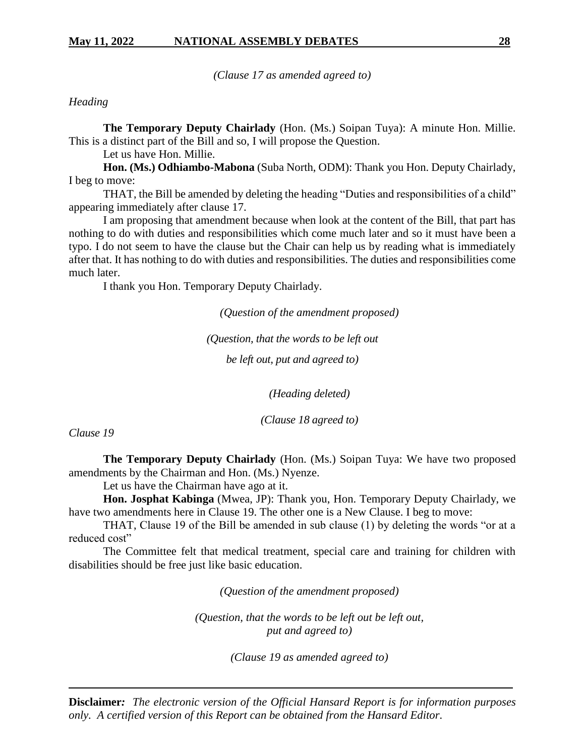*(Clause 17 as amended agreed to)*

*Heading*

**The Temporary Deputy Chairlady** (Hon. (Ms.) Soipan Tuya): A minute Hon. Millie. This is a distinct part of the Bill and so, I will propose the Question.

Let us have Hon. Millie.

**Hon. (Ms.) Odhiambo-Mabona** (Suba North, ODM): Thank you Hon. Deputy Chairlady, I beg to move:

THAT, the Bill be amended by deleting the heading "Duties and responsibilities of a child" appearing immediately after clause 17.

I am proposing that amendment because when look at the content of the Bill, that part has nothing to do with duties and responsibilities which come much later and so it must have been a typo. I do not seem to have the clause but the Chair can help us by reading what is immediately after that. It has nothing to do with duties and responsibilities. The duties and responsibilities come much later.

I thank you Hon. Temporary Deputy Chairlady.

*(Question of the amendment proposed)*

*(Question, that the words to be left out*

*be left out, put and agreed to)*

*(Heading deleted)*

*(Clause 18 agreed to)*

*Clause 19*

**The Temporary Deputy Chairlady** (Hon. (Ms.) Soipan Tuya: We have two proposed amendments by the Chairman and Hon. (Ms.) Nyenze.

Let us have the Chairman have ago at it.

**Hon. Josphat Kabinga** (Mwea, JP): Thank you, Hon. Temporary Deputy Chairlady, we have two amendments here in Clause 19. The other one is a New Clause. I beg to move:

THAT, Clause 19 of the Bill be amended in sub clause (1) by deleting the words "or at a reduced cost"

The Committee felt that medical treatment, special care and training for children with disabilities should be free just like basic education.

*(Question of the amendment proposed)*

*(Question, that the words to be left out be left out, put and agreed to)*

*(Clause 19 as amended agreed to)*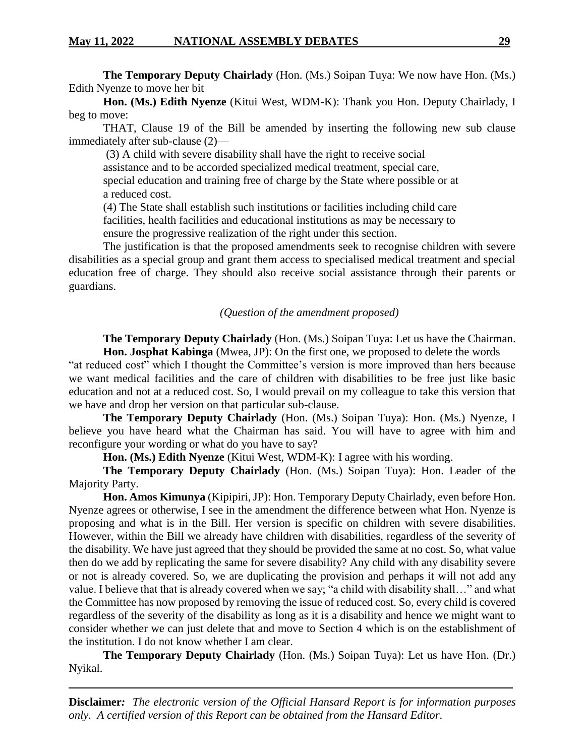**The Temporary Deputy Chairlady** (Hon. (Ms.) Soipan Tuya: We now have Hon. (Ms.) Edith Nyenze to move her bit

**Hon. (Ms.) Edith Nyenze** (Kitui West, WDM-K): Thank you Hon. Deputy Chairlady, I beg to move:

THAT, Clause 19 of the Bill be amended by inserting the following new sub clause immediately after sub-clause (2)—

(3) A child with severe disability shall have the right to receive social

assistance and to be accorded specialized medical treatment, special care,

special education and training free of charge by the State where possible or at a reduced cost.

(4) The State shall establish such institutions or facilities including child care facilities, health facilities and educational institutions as may be necessary to ensure the progressive realization of the right under this section.

The justification is that the proposed amendments seek to recognise children with severe disabilities as a special group and grant them access to specialised medical treatment and special education free of charge. They should also receive social assistance through their parents or guardians.

#### *(Question of the amendment proposed)*

**The Temporary Deputy Chairlady** (Hon. (Ms.) Soipan Tuya: Let us have the Chairman. **Hon. Josphat Kabinga** (Mwea, JP): On the first one, we proposed to delete the words

"at reduced cost" which I thought the Committee's version is more improved than hers because we want medical facilities and the care of children with disabilities to be free just like basic education and not at a reduced cost. So, I would prevail on my colleague to take this version that we have and drop her version on that particular sub-clause.

**The Temporary Deputy Chairlady** (Hon. (Ms.) Soipan Tuya): Hon. (Ms.) Nyenze, I believe you have heard what the Chairman has said. You will have to agree with him and reconfigure your wording or what do you have to say?

**Hon. (Ms.) Edith Nyenze** (Kitui West, WDM-K): I agree with his wording.

**The Temporary Deputy Chairlady** (Hon. (Ms.) Soipan Tuya): Hon. Leader of the Majority Party.

**Hon. Amos Kimunya** (Kipipiri, JP): Hon. Temporary Deputy Chairlady, even before Hon. Nyenze agrees or otherwise, I see in the amendment the difference between what Hon. Nyenze is proposing and what is in the Bill. Her version is specific on children with severe disabilities. However, within the Bill we already have children with disabilities, regardless of the severity of the disability. We have just agreed that they should be provided the same at no cost. So, what value then do we add by replicating the same for severe disability? Any child with any disability severe or not is already covered. So, we are duplicating the provision and perhaps it will not add any value. I believe that that is already covered when we say; "a child with disability shall…" and what the Committee has now proposed by removing the issue of reduced cost. So, every child is covered regardless of the severity of the disability as long as it is a disability and hence we might want to consider whether we can just delete that and move to Section 4 which is on the establishment of the institution. I do not know whether I am clear.

**The Temporary Deputy Chairlady** (Hon. (Ms.) Soipan Tuya): Let us have Hon. (Dr.) Nyikal.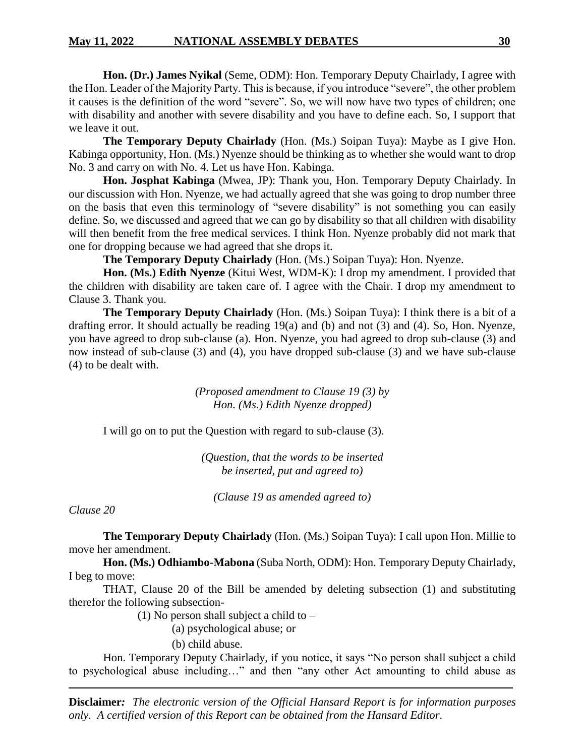**Hon. (Dr.) James Nyikal** (Seme, ODM): Hon. Temporary Deputy Chairlady, I agree with the Hon. Leader of the Majority Party. This is because, if you introduce "severe", the other problem it causes is the definition of the word "severe". So, we will now have two types of children; one with disability and another with severe disability and you have to define each. So, I support that we leave it out.

**The Temporary Deputy Chairlady** (Hon. (Ms.) Soipan Tuya): Maybe as I give Hon. Kabinga opportunity, Hon. (Ms.) Nyenze should be thinking as to whether she would want to drop No. 3 and carry on with No. 4. Let us have Hon. Kabinga.

**Hon. Josphat Kabinga** (Mwea, JP): Thank you, Hon. Temporary Deputy Chairlady. In our discussion with Hon. Nyenze, we had actually agreed that she was going to drop number three on the basis that even this terminology of "severe disability" is not something you can easily define. So, we discussed and agreed that we can go by disability so that all children with disability will then benefit from the free medical services. I think Hon. Nyenze probably did not mark that one for dropping because we had agreed that she drops it.

**The Temporary Deputy Chairlady** (Hon. (Ms.) Soipan Tuya): Hon. Nyenze.

**Hon. (Ms.) Edith Nyenze** (Kitui West, WDM-K): I drop my amendment. I provided that the children with disability are taken care of. I agree with the Chair. I drop my amendment to Clause 3. Thank you.

**The Temporary Deputy Chairlady** (Hon. (Ms.) Soipan Tuya): I think there is a bit of a drafting error. It should actually be reading 19(a) and (b) and not (3) and (4). So, Hon. Nyenze, you have agreed to drop sub-clause (a). Hon. Nyenze, you had agreed to drop sub-clause (3) and now instead of sub-clause (3) and (4), you have dropped sub-clause (3) and we have sub-clause (4) to be dealt with.

> *(Proposed amendment to Clause 19 (3) by Hon. (Ms.) Edith Nyenze dropped)*

I will go on to put the Question with regard to sub-clause (3).

*(Question, that the words to be inserted be inserted, put and agreed to)*

*(Clause 19 as amended agreed to)*

*Clause 20*

**The Temporary Deputy Chairlady** (Hon. (Ms.) Soipan Tuya): I call upon Hon. Millie to move her amendment.

**Hon. (Ms.) Odhiambo-Mabona** (Suba North, ODM): Hon. Temporary Deputy Chairlady, I beg to move:

THAT, Clause 20 of the Bill be amended by deleting subsection (1) and substituting therefor the following subsection-

(1) No person shall subject a child to –

(a) psychological abuse; or

(b) child abuse.

Hon. Temporary Deputy Chairlady, if you notice, it says "No person shall subject a child to psychological abuse including…" and then "any other Act amounting to child abuse as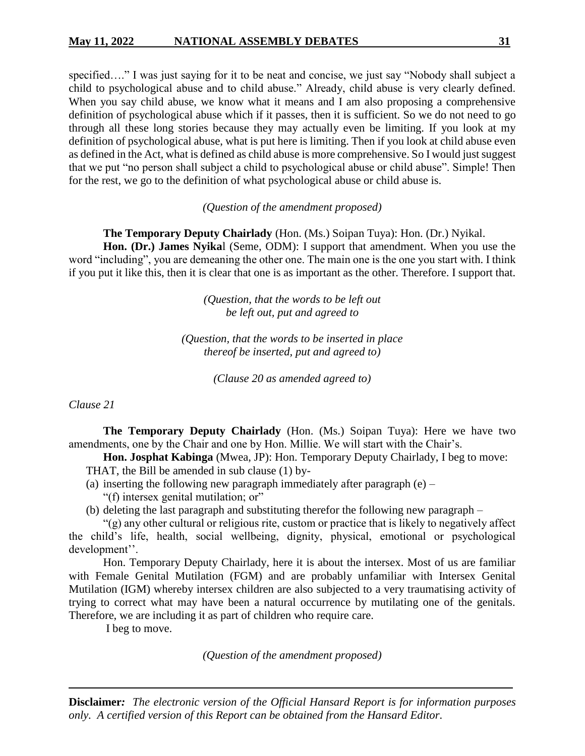specified...." I was just saying for it to be neat and concise, we just say "Nobody shall subject a child to psychological abuse and to child abuse." Already, child abuse is very clearly defined. When you say child abuse, we know what it means and I am also proposing a comprehensive definition of psychological abuse which if it passes, then it is sufficient. So we do not need to go through all these long stories because they may actually even be limiting. If you look at my definition of psychological abuse, what is put here is limiting. Then if you look at child abuse even as defined in the Act, what is defined as child abuse is more comprehensive. So I would just suggest that we put "no person shall subject a child to psychological abuse or child abuse". Simple! Then for the rest, we go to the definition of what psychological abuse or child abuse is.

*(Question of the amendment proposed)*

#### **The Temporary Deputy Chairlady** (Hon. (Ms.) Soipan Tuya): Hon. (Dr.) Nyikal.

**Hon. (Dr.) James Nyika**l (Seme, ODM): I support that amendment. When you use the word "including", you are demeaning the other one. The main one is the one you start with. I think if you put it like this, then it is clear that one is as important as the other. Therefore. I support that.

> *(Question, that the words to be left out be left out, put and agreed to*

*(Question, that the words to be inserted in place thereof be inserted, put and agreed to)*

*(Clause 20 as amended agreed to)*

*Clause 21*

**The Temporary Deputy Chairlady** (Hon. (Ms.) Soipan Tuya): Here we have two amendments, one by the Chair and one by Hon. Millie. We will start with the Chair's.

**Hon. Josphat Kabinga** (Mwea, JP): Hon. Temporary Deputy Chairlady, I beg to move: THAT, the Bill be amended in sub clause (1) by-

- (a) inserting the following new paragraph immediately after paragraph  $(e)$ 
	- "(f) intersex genital mutilation; or"
- (b) deleting the last paragraph and substituting therefor the following new paragraph –

"(g) any other cultural or religious rite, custom or practice that is likely to negatively affect the child's life, health, social wellbeing, dignity, physical, emotional or psychological development''.

Hon. Temporary Deputy Chairlady, here it is about the intersex. Most of us are familiar with Female Genital Mutilation (FGM) and are probably unfamiliar with Intersex Genital Mutilation (IGM) whereby intersex children are also subjected to a very traumatising activity of trying to correct what may have been a natural occurrence by mutilating one of the genitals. Therefore, we are including it as part of children who require care.

I beg to move.

*(Question of the amendment proposed)*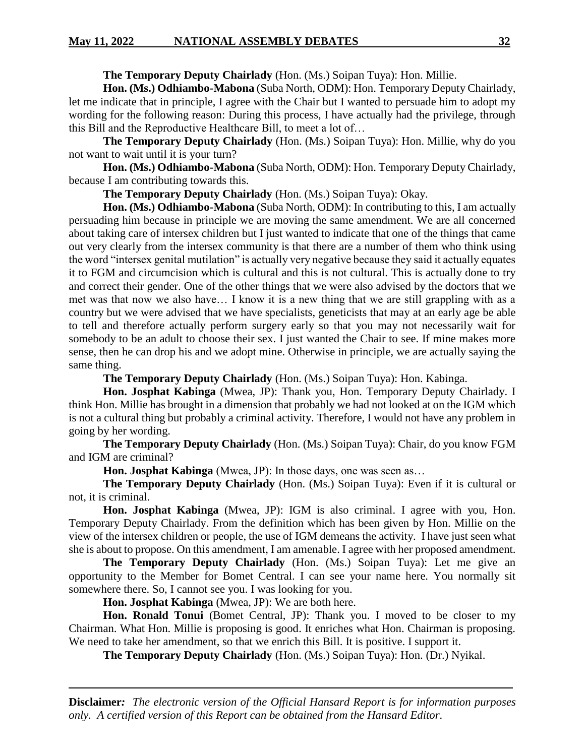**The Temporary Deputy Chairlady** (Hon. (Ms.) Soipan Tuya): Hon. Millie.

**Hon. (Ms.) Odhiambo-Mabona** (Suba North, ODM): Hon. Temporary Deputy Chairlady, let me indicate that in principle, I agree with the Chair but I wanted to persuade him to adopt my wording for the following reason: During this process, I have actually had the privilege, through this Bill and the Reproductive Healthcare Bill, to meet a lot of…

**The Temporary Deputy Chairlady** (Hon. (Ms.) Soipan Tuya): Hon. Millie, why do you not want to wait until it is your turn?

**Hon. (Ms.) Odhiambo-Mabona** (Suba North, ODM): Hon. Temporary Deputy Chairlady, because I am contributing towards this.

**The Temporary Deputy Chairlady** (Hon. (Ms.) Soipan Tuya): Okay.

**Hon. (Ms.) Odhiambo-Mabona** (Suba North, ODM): In contributing to this, I am actually persuading him because in principle we are moving the same amendment. We are all concerned about taking care of intersex children but I just wanted to indicate that one of the things that came out very clearly from the intersex community is that there are a number of them who think using the word "intersex genital mutilation" is actually very negative because they said it actually equates it to FGM and circumcision which is cultural and this is not cultural. This is actually done to try and correct their gender. One of the other things that we were also advised by the doctors that we met was that now we also have… I know it is a new thing that we are still grappling with as a country but we were advised that we have specialists, geneticists that may at an early age be able to tell and therefore actually perform surgery early so that you may not necessarily wait for somebody to be an adult to choose their sex. I just wanted the Chair to see. If mine makes more sense, then he can drop his and we adopt mine. Otherwise in principle, we are actually saying the same thing.

**The Temporary Deputy Chairlady** (Hon. (Ms.) Soipan Tuya): Hon. Kabinga.

**Hon. Josphat Kabinga** (Mwea, JP): Thank you, Hon. Temporary Deputy Chairlady. I think Hon. Millie has brought in a dimension that probably we had not looked at on the IGM which is not a cultural thing but probably a criminal activity. Therefore, I would not have any problem in going by her wording.

**The Temporary Deputy Chairlady** (Hon. (Ms.) Soipan Tuya): Chair, do you know FGM and IGM are criminal?

**Hon. Josphat Kabinga** (Mwea, JP): In those days, one was seen as…

**The Temporary Deputy Chairlady** (Hon. (Ms.) Soipan Tuya): Even if it is cultural or not, it is criminal.

**Hon. Josphat Kabinga** (Mwea, JP): IGM is also criminal. I agree with you, Hon. Temporary Deputy Chairlady. From the definition which has been given by Hon. Millie on the view of the intersex children or people, the use of IGM demeans the activity. I have just seen what she is about to propose. On this amendment, I am amenable. I agree with her proposed amendment.

**The Temporary Deputy Chairlady** (Hon. (Ms.) Soipan Tuya): Let me give an opportunity to the Member for Bomet Central. I can see your name here. You normally sit somewhere there. So, I cannot see you. I was looking for you.

**Hon. Josphat Kabinga** (Mwea, JP): We are both here.

**Hon. Ronald Tonui** (Bomet Central, JP): Thank you. I moved to be closer to my Chairman. What Hon. Millie is proposing is good. It enriches what Hon. Chairman is proposing. We need to take her amendment, so that we enrich this Bill. It is positive. I support it.

**The Temporary Deputy Chairlady** (Hon. (Ms.) Soipan Tuya): Hon. (Dr.) Nyikal.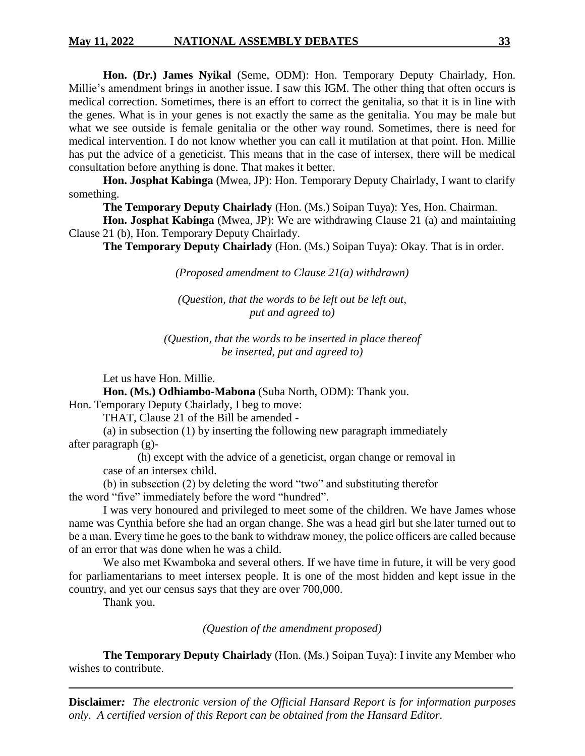**Hon. (Dr.) James Nyikal** (Seme, ODM): Hon. Temporary Deputy Chairlady, Hon. Millie's amendment brings in another issue. I saw this IGM. The other thing that often occurs is medical correction. Sometimes, there is an effort to correct the genitalia, so that it is in line with the genes. What is in your genes is not exactly the same as the genitalia. You may be male but what we see outside is female genitalia or the other way round. Sometimes, there is need for medical intervention. I do not know whether you can call it mutilation at that point. Hon. Millie has put the advice of a geneticist. This means that in the case of intersex, there will be medical consultation before anything is done. That makes it better.

**Hon. Josphat Kabinga** (Mwea, JP): Hon. Temporary Deputy Chairlady, I want to clarify something.

**The Temporary Deputy Chairlady** (Hon. (Ms.) Soipan Tuya): Yes, Hon. Chairman.

**Hon. Josphat Kabinga** (Mwea, JP): We are withdrawing Clause 21 (a) and maintaining Clause 21 (b), Hon. Temporary Deputy Chairlady.

**The Temporary Deputy Chairlady** (Hon. (Ms.) Soipan Tuya): Okay. That is in order.

*(Proposed amendment to Clause 21(a) withdrawn)*

*(Question, that the words to be left out be left out, put and agreed to)*

*(Question, that the words to be inserted in place thereof be inserted, put and agreed to)*

Let us have Hon. Millie.

**Hon. (Ms.) Odhiambo-Mabona** (Suba North, ODM): Thank you.

Hon. Temporary Deputy Chairlady, I beg to move:

THAT, Clause 21 of the Bill be amended -

(a) in subsection (1) by inserting the following new paragraph immediately after paragraph (g)-

(h) except with the advice of a geneticist, organ change or removal in case of an intersex child.

(b) in subsection (2) by deleting the word "two" and substituting therefor the word "five" immediately before the word "hundred".

I was very honoured and privileged to meet some of the children. We have James whose name was Cynthia before she had an organ change. She was a head girl but she later turned out to be a man. Every time he goes to the bank to withdraw money, the police officers are called because of an error that was done when he was a child.

We also met Kwamboka and several others. If we have time in future, it will be very good for parliamentarians to meet intersex people. It is one of the most hidden and kept issue in the country, and yet our census says that they are over 700,000.

Thank you.

*(Question of the amendment proposed)*

**The Temporary Deputy Chairlady** (Hon. (Ms.) Soipan Tuya): I invite any Member who wishes to contribute.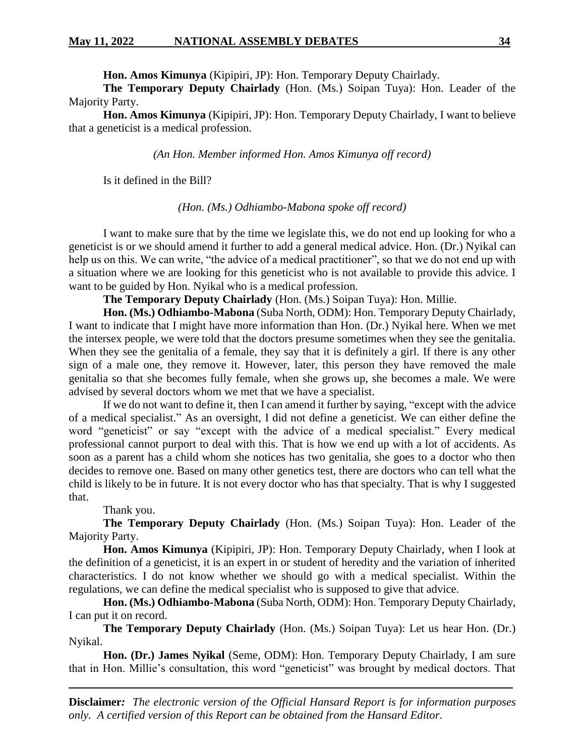**Hon. Amos Kimunya** (Kipipiri, JP): Hon. Temporary Deputy Chairlady.

**The Temporary Deputy Chairlady** (Hon. (Ms.) Soipan Tuya): Hon. Leader of the Majority Party.

**Hon. Amos Kimunya** (Kipipiri, JP): Hon. Temporary Deputy Chairlady, I want to believe that a geneticist is a medical profession.

*(An Hon. Member informed Hon. Amos Kimunya off record)*

Is it defined in the Bill?

*(Hon. (Ms.) Odhiambo-Mabona spoke off record)*

I want to make sure that by the time we legislate this, we do not end up looking for who a geneticist is or we should amend it further to add a general medical advice. Hon. (Dr.) Nyikal can help us on this. We can write, "the advice of a medical practitioner", so that we do not end up with a situation where we are looking for this geneticist who is not available to provide this advice. I want to be guided by Hon. Nyikal who is a medical profession.

**The Temporary Deputy Chairlady** (Hon. (Ms.) Soipan Tuya): Hon. Millie.

**Hon. (Ms.) Odhiambo-Mabona** (Suba North, ODM): Hon. Temporary Deputy Chairlady, I want to indicate that I might have more information than Hon. (Dr.) Nyikal here. When we met the intersex people, we were told that the doctors presume sometimes when they see the genitalia. When they see the genitalia of a female, they say that it is definitely a girl. If there is any other sign of a male one, they remove it. However, later, this person they have removed the male genitalia so that she becomes fully female, when she grows up, she becomes a male. We were advised by several doctors whom we met that we have a specialist.

If we do not want to define it, then I can amend it further by saying, "except with the advice of a medical specialist." As an oversight, I did not define a geneticist. We can either define the word "geneticist" or say "except with the advice of a medical specialist." Every medical professional cannot purport to deal with this. That is how we end up with a lot of accidents. As soon as a parent has a child whom she notices has two genitalia, she goes to a doctor who then decides to remove one. Based on many other genetics test, there are doctors who can tell what the child is likely to be in future. It is not every doctor who has that specialty. That is why I suggested that.

Thank you.

**The Temporary Deputy Chairlady** (Hon. (Ms.) Soipan Tuya): Hon. Leader of the Majority Party.

**Hon. Amos Kimunya** (Kipipiri, JP): Hon. Temporary Deputy Chairlady, when I look at the definition of a geneticist, it is an expert in or student of heredity and the variation of inherited characteristics. I do not know whether we should go with a medical specialist. Within the regulations, we can define the medical specialist who is supposed to give that advice.

**Hon. (Ms.) Odhiambo-Mabona** (Suba North, ODM): Hon. Temporary Deputy Chairlady, I can put it on record.

**The Temporary Deputy Chairlady** (Hon. (Ms.) Soipan Tuya): Let us hear Hon. (Dr.) Nyikal.

**Hon. (Dr.) James Nyikal** (Seme, ODM): Hon. Temporary Deputy Chairlady, I am sure that in Hon. Millie's consultation, this word "geneticist" was brought by medical doctors. That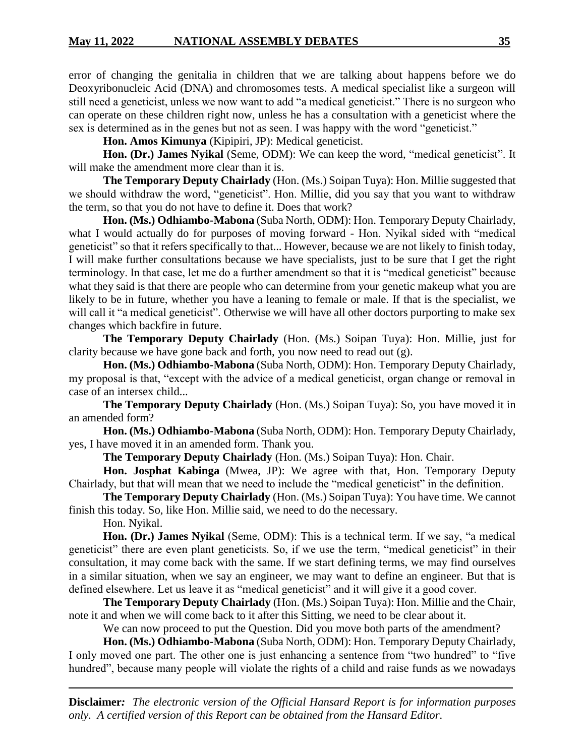error of changing the genitalia in children that we are talking about happens before we do Deoxyribonucleic Acid (DNA) and chromosomes tests. A medical specialist like a surgeon will still need a geneticist, unless we now want to add "a medical geneticist." There is no surgeon who can operate on these children right now, unless he has a consultation with a geneticist where the sex is determined as in the genes but not as seen. I was happy with the word "geneticist."

**Hon. Amos Kimunya** (Kipipiri, JP): Medical geneticist.

**Hon. (Dr.) James Nyikal** (Seme, ODM): We can keep the word, "medical geneticist". It will make the amendment more clear than it is.

**The Temporary Deputy Chairlady** (Hon. (Ms.) Soipan Tuya): Hon. Millie suggested that we should withdraw the word, "geneticist". Hon. Millie, did you say that you want to withdraw the term, so that you do not have to define it. Does that work?

**Hon. (Ms.) Odhiambo-Mabona** (Suba North, ODM): Hon. Temporary Deputy Chairlady, what I would actually do for purposes of moving forward - Hon. Nyikal sided with "medical geneticist" so that it refers specifically to that... However, because we are not likely to finish today, I will make further consultations because we have specialists, just to be sure that I get the right terminology. In that case, let me do a further amendment so that it is "medical geneticist" because what they said is that there are people who can determine from your genetic makeup what you are likely to be in future, whether you have a leaning to female or male. If that is the specialist, we will call it "a medical geneticist". Otherwise we will have all other doctors purporting to make sex changes which backfire in future.

**The Temporary Deputy Chairlady** (Hon. (Ms.) Soipan Tuya): Hon. Millie, just for clarity because we have gone back and forth, you now need to read out (g).

**Hon. (Ms.) Odhiambo-Mabona** (Suba North, ODM): Hon. Temporary Deputy Chairlady, my proposal is that, "except with the advice of a medical geneticist, organ change or removal in case of an intersex child...

**The Temporary Deputy Chairlady** (Hon. (Ms.) Soipan Tuya): So, you have moved it in an amended form?

**Hon. (Ms.) Odhiambo-Mabona** (Suba North, ODM): Hon. Temporary Deputy Chairlady, yes, I have moved it in an amended form. Thank you.

**The Temporary Deputy Chairlady** (Hon. (Ms.) Soipan Tuya): Hon. Chair.

**Hon. Josphat Kabinga** (Mwea, JP): We agree with that, Hon. Temporary Deputy Chairlady, but that will mean that we need to include the "medical geneticist" in the definition.

**The Temporary Deputy Chairlady** (Hon. (Ms.) Soipan Tuya): You have time. We cannot finish this today. So, like Hon. Millie said, we need to do the necessary.

Hon. Nyikal.

**Hon. (Dr.) James Nyikal** (Seme, ODM): This is a technical term. If we say, "a medical geneticist" there are even plant geneticists. So, if we use the term, "medical geneticist" in their consultation, it may come back with the same. If we start defining terms, we may find ourselves in a similar situation, when we say an engineer, we may want to define an engineer. But that is defined elsewhere. Let us leave it as "medical geneticist" and it will give it a good cover.

**The Temporary Deputy Chairlady** (Hon. (Ms.) Soipan Tuya): Hon. Millie and the Chair, note it and when we will come back to it after this Sitting, we need to be clear about it.

We can now proceed to put the Question. Did you move both parts of the amendment?

**Hon. (Ms.) Odhiambo-Mabona** (Suba North, ODM): Hon. Temporary Deputy Chairlady, I only moved one part. The other one is just enhancing a sentence from "two hundred" to "five hundred", because many people will violate the rights of a child and raise funds as we nowadays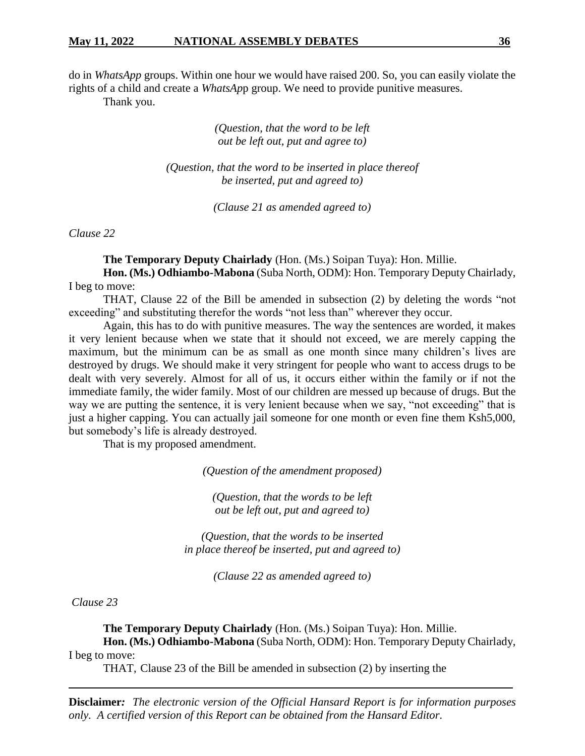do in *WhatsApp* groups. Within one hour we would have raised 200. So, you can easily violate the rights of a child and create a *WhatsAp*p group. We need to provide punitive measures.

Thank you.

*(Question, that the word to be left out be left out, put and agree to)*

*(Question, that the word to be inserted in place thereof be inserted, put and agreed to)*

*(Clause 21 as amended agreed to)*

*Clause 22*

**The Temporary Deputy Chairlady** (Hon. (Ms.) Soipan Tuya): Hon. Millie. **Hon. (Ms.) Odhiambo-Mabona** (Suba North, ODM): Hon. Temporary Deputy Chairlady,

I beg to move: THAT, Clause 22 of the Bill be amended in subsection (2) by deleting the words "not exceeding" and substituting therefor the words "not less than" wherever they occur.

Again, this has to do with punitive measures. The way the sentences are worded, it makes it very lenient because when we state that it should not exceed, we are merely capping the maximum, but the minimum can be as small as one month since many children's lives are destroyed by drugs. We should make it very stringent for people who want to access drugs to be dealt with very severely. Almost for all of us, it occurs either within the family or if not the immediate family, the wider family. Most of our children are messed up because of drugs. But the way we are putting the sentence, it is very lenient because when we say, "not exceeding" that is just a higher capping. You can actually jail someone for one month or even fine them Ksh5,000, but somebody's life is already destroyed.

That is my proposed amendment.

*(Question of the amendment proposed)*

*(Question, that the words to be left out be left out, put and agreed to)*

*(Question, that the words to be inserted in place thereof be inserted, put and agreed to)*

*(Clause 22 as amended agreed to)*

*Clause 23*

**The Temporary Deputy Chairlady** (Hon. (Ms.) Soipan Tuya): Hon. Millie.

**Hon. (Ms.) Odhiambo-Mabona** (Suba North, ODM): Hon. Temporary Deputy Chairlady, I beg to move:

THAT, Clause 23 of the Bill be amended in subsection (2) by inserting the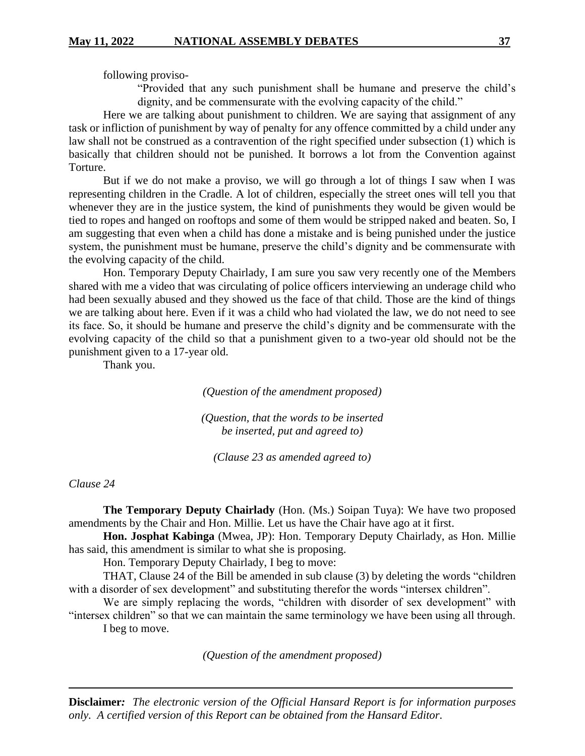following proviso-

"Provided that any such punishment shall be humane and preserve the child's dignity, and be commensurate with the evolving capacity of the child."

Here we are talking about punishment to children. We are saying that assignment of any task or infliction of punishment by way of penalty for any offence committed by a child under any law shall not be construed as a contravention of the right specified under subsection (1) which is basically that children should not be punished. It borrows a lot from the Convention against Torture.

But if we do not make a proviso, we will go through a lot of things I saw when I was representing children in the Cradle. A lot of children, especially the street ones will tell you that whenever they are in the justice system, the kind of punishments they would be given would be tied to ropes and hanged on rooftops and some of them would be stripped naked and beaten. So, I am suggesting that even when a child has done a mistake and is being punished under the justice system, the punishment must be humane, preserve the child's dignity and be commensurate with the evolving capacity of the child.

Hon. Temporary Deputy Chairlady, I am sure you saw very recently one of the Members shared with me a video that was circulating of police officers interviewing an underage child who had been sexually abused and they showed us the face of that child. Those are the kind of things we are talking about here. Even if it was a child who had violated the law, we do not need to see its face. So, it should be humane and preserve the child's dignity and be commensurate with the evolving capacity of the child so that a punishment given to a two-year old should not be the punishment given to a 17-year old.

Thank you.

*(Question of the amendment proposed)*

*(Question, that the words to be inserted be inserted, put and agreed to)*

*(Clause 23 as amended agreed to)*

## *Clause 24*

**The Temporary Deputy Chairlady** (Hon. (Ms.) Soipan Tuya): We have two proposed amendments by the Chair and Hon. Millie. Let us have the Chair have ago at it first.

**Hon. Josphat Kabinga** (Mwea, JP): Hon. Temporary Deputy Chairlady, as Hon. Millie has said, this amendment is similar to what she is proposing.

Hon. Temporary Deputy Chairlady, I beg to move:

THAT, Clause 24 of the Bill be amended in sub clause (3) by deleting the words "children with a disorder of sex development" and substituting therefor the words "intersex children".

We are simply replacing the words, "children with disorder of sex development" with "intersex children" so that we can maintain the same terminology we have been using all through. I beg to move.

*(Question of the amendment proposed)*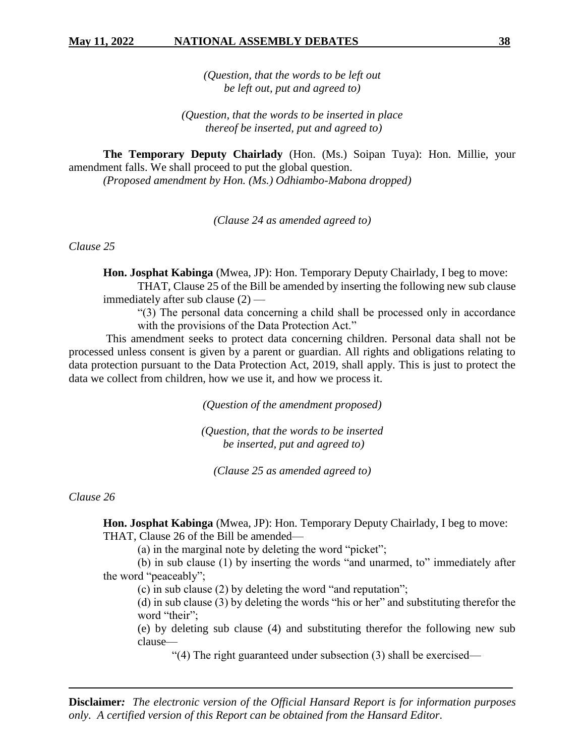*(Question, that the words to be left out be left out, put and agreed to)*

*(Question, that the words to be inserted in place thereof be inserted, put and agreed to)*

**The Temporary Deputy Chairlady** (Hon. (Ms.) Soipan Tuya): Hon. Millie, your amendment falls. We shall proceed to put the global question. *(Proposed amendment by Hon. (Ms.) Odhiambo-Mabona dropped)*

*(Clause 24 as amended agreed to)* 

*Clause 25*

**Hon. Josphat Kabinga** (Mwea, JP): Hon. Temporary Deputy Chairlady, I beg to move:

THAT, Clause 25 of the Bill be amended by inserting the following new sub clause immediately after sub clause (2) —

"(3) The personal data concerning a child shall be processed only in accordance with the provisions of the Data Protection Act."

This amendment seeks to protect data concerning children. Personal data shall not be processed unless consent is given by a parent or guardian. All rights and obligations relating to data protection pursuant to the Data Protection Act, 2019, shall apply. This is just to protect the data we collect from children, how we use it, and how we process it.

*(Question of the amendment proposed)*

*(Question, that the words to be inserted be inserted, put and agreed to)*

*(Clause 25 as amended agreed to)* 

*Clause 26*

**Hon. Josphat Kabinga** (Mwea, JP): Hon. Temporary Deputy Chairlady, I beg to move: THAT, Clause 26 of the Bill be amended—

(a) in the marginal note by deleting the word "picket";

(b) in sub clause (1) by inserting the words "and unarmed, to" immediately after the word "peaceably";

(c) in sub clause (2) by deleting the word "and reputation";

(d) in sub clause (3) by deleting the words "his or her" and substituting therefor the word "their";

(e) by deleting sub clause (4) and substituting therefor the following new sub clause—

"(4) The right guaranteed under subsection (3) shall be exercised—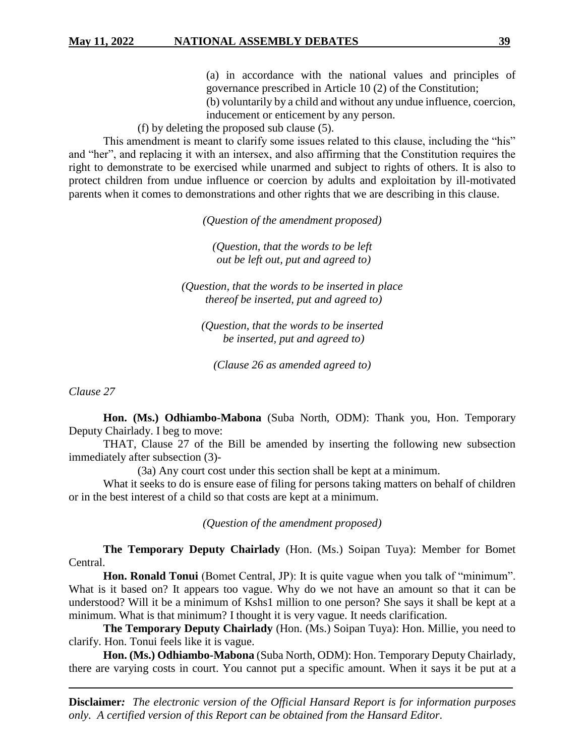(a) in accordance with the national values and principles of governance prescribed in Article 10 (2) of the Constitution;

(b) voluntarily by a child and without any undue influence, coercion, inducement or enticement by any person.

(f) by deleting the proposed sub clause (5).

This amendment is meant to clarify some issues related to this clause, including the "his" and "her", and replacing it with an intersex, and also affirming that the Constitution requires the right to demonstrate to be exercised while unarmed and subject to rights of others. It is also to protect children from undue influence or coercion by adults and exploitation by ill-motivated parents when it comes to demonstrations and other rights that we are describing in this clause.

*(Question of the amendment proposed)*

*(Question, that the words to be left out be left out, put and agreed to)*

*(Question, that the words to be inserted in place thereof be inserted, put and agreed to)*

*(Question, that the words to be inserted be inserted, put and agreed to)*

*(Clause 26 as amended agreed to)*

*Clause 27*

**Hon. (Ms.) Odhiambo-Mabona** (Suba North, ODM): Thank you, Hon. Temporary Deputy Chairlady. I beg to move:

THAT, Clause 27 of the Bill be amended by inserting the following new subsection immediately after subsection (3)-

(3a) Any court cost under this section shall be kept at a minimum.

What it seeks to do is ensure ease of filing for persons taking matters on behalf of children or in the best interest of a child so that costs are kept at a minimum.

*(Question of the amendment proposed)*

**The Temporary Deputy Chairlady** (Hon. (Ms.) Soipan Tuya): Member for Bomet Central.

**Hon. Ronald Tonui** (Bomet Central, JP): It is quite vague when you talk of "minimum". What is it based on? It appears too vague. Why do we not have an amount so that it can be understood? Will it be a minimum of Kshs1 million to one person? She says it shall be kept at a minimum. What is that minimum? I thought it is very vague. It needs clarification.

**The Temporary Deputy Chairlady** (Hon. (Ms.) Soipan Tuya): Hon. Millie, you need to clarify. Hon. Tonui feels like it is vague.

**Hon. (Ms.) Odhiambo-Mabona** (Suba North, ODM): Hon. Temporary Deputy Chairlady, there are varying costs in court. You cannot put a specific amount. When it says it be put at a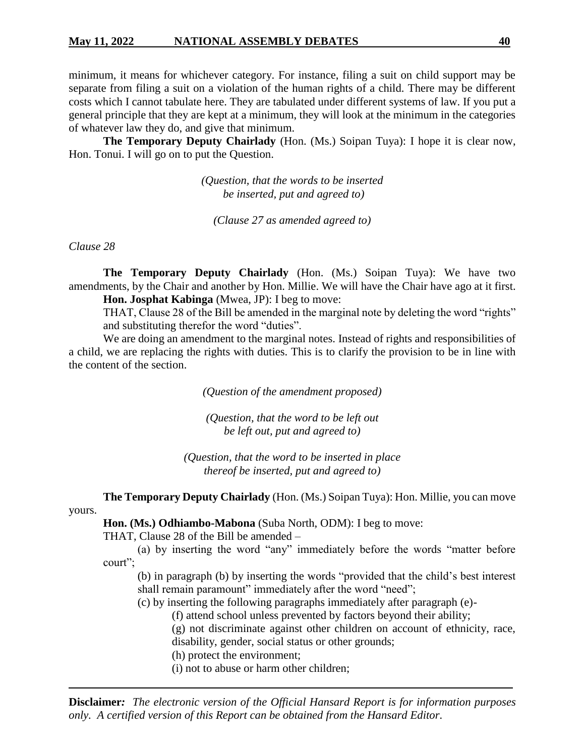minimum, it means for whichever category. For instance, filing a suit on child support may be separate from filing a suit on a violation of the human rights of a child. There may be different costs which I cannot tabulate here. They are tabulated under different systems of law. If you put a general principle that they are kept at a minimum, they will look at the minimum in the categories of whatever law they do, and give that minimum.

**The Temporary Deputy Chairlady** (Hon. (Ms.) Soipan Tuya): I hope it is clear now, Hon. Tonui. I will go on to put the Question.

> *(Question, that the words to be inserted be inserted, put and agreed to)*

*(Clause 27 as amended agreed to)*

*Clause 28*

**The Temporary Deputy Chairlady** (Hon. (Ms.) Soipan Tuya): We have two amendments, by the Chair and another by Hon. Millie. We will have the Chair have ago at it first. **Hon. Josphat Kabinga** (Mwea, JP): I beg to move:

THAT, Clause 28 of the Bill be amended in the marginal note by deleting the word "rights" and substituting therefor the word "duties".

We are doing an amendment to the marginal notes. Instead of rights and responsibilities of a child, we are replacing the rights with duties. This is to clarify the provision to be in line with the content of the section.

*(Question of the amendment proposed)*

*(Question, that the word to be left out be left out, put and agreed to)*

*(Question, that the word to be inserted in place thereof be inserted, put and agreed to)*

**The Temporary Deputy Chairlady** (Hon. (Ms.) Soipan Tuya): Hon. Millie, you can move

yours.

**Hon. (Ms.) Odhiambo-Mabona** (Suba North, ODM): I beg to move:

THAT, Clause 28 of the Bill be amended –

(a) by inserting the word "any" immediately before the words "matter before court";

(b) in paragraph (b) by inserting the words "provided that the child's best interest shall remain paramount" immediately after the word "need";

(c) by inserting the following paragraphs immediately after paragraph (e)-

(f) attend school unless prevented by factors beyond their ability;

(g) not discriminate against other children on account of ethnicity, race, disability, gender, social status or other grounds;

(h) protect the environment;

(i) not to abuse or harm other children;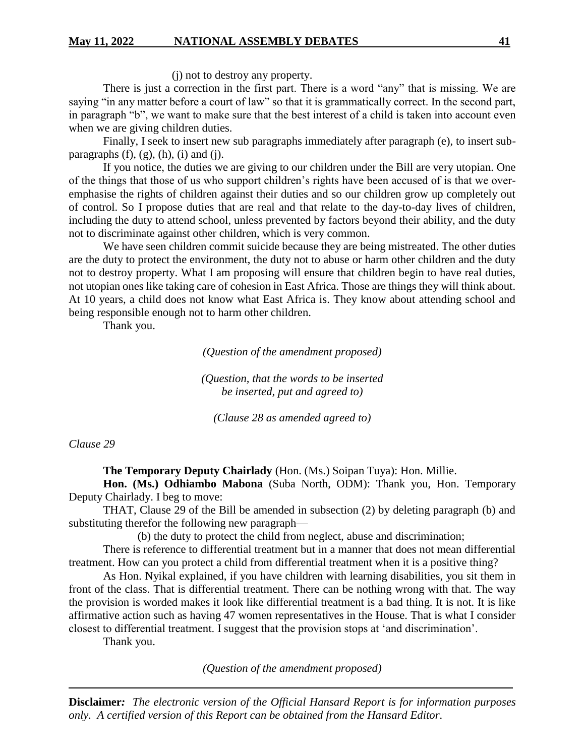(j) not to destroy any property.

There is just a correction in the first part. There is a word "any" that is missing. We are saying "in any matter before a court of law" so that it is grammatically correct. In the second part, in paragraph "b", we want to make sure that the best interest of a child is taken into account even when we are giving children duties.

Finally, I seek to insert new sub paragraphs immediately after paragraph (e), to insert subparagraphs  $(f)$ ,  $(g)$ ,  $(h)$ ,  $(i)$  and  $(i)$ .

If you notice, the duties we are giving to our children under the Bill are very utopian. One of the things that those of us who support children's rights have been accused of is that we overemphasise the rights of children against their duties and so our children grow up completely out of control. So I propose duties that are real and that relate to the day-to-day lives of children, including the duty to attend school, unless prevented by factors beyond their ability, and the duty not to discriminate against other children, which is very common.

We have seen children commit suicide because they are being mistreated. The other duties are the duty to protect the environment, the duty not to abuse or harm other children and the duty not to destroy property. What I am proposing will ensure that children begin to have real duties, not utopian ones like taking care of cohesion in East Africa. Those are things they will think about. At 10 years, a child does not know what East Africa is. They know about attending school and being responsible enough not to harm other children.

Thank you.

*(Question of the amendment proposed)*

*(Question, that the words to be inserted be inserted, put and agreed to)*

*(Clause 28 as amended agreed to)*

#### *Clause 29*

**The Temporary Deputy Chairlady** (Hon. (Ms.) Soipan Tuya): Hon. Millie.

**Hon. (Ms.) Odhiambo Mabona** (Suba North, ODM): Thank you, Hon. Temporary Deputy Chairlady. I beg to move:

THAT, Clause 29 of the Bill be amended in subsection (2) by deleting paragraph (b) and substituting therefor the following new paragraph—

(b) the duty to protect the child from neglect, abuse and discrimination;

There is reference to differential treatment but in a manner that does not mean differential treatment. How can you protect a child from differential treatment when it is a positive thing?

As Hon. Nyikal explained, if you have children with learning disabilities, you sit them in front of the class. That is differential treatment. There can be nothing wrong with that. The way the provision is worded makes it look like differential treatment is a bad thing. It is not. It is like affirmative action such as having 47 women representatives in the House. That is what I consider closest to differential treatment. I suggest that the provision stops at 'and discrimination'.

Thank you.

*(Question of the amendment proposed)*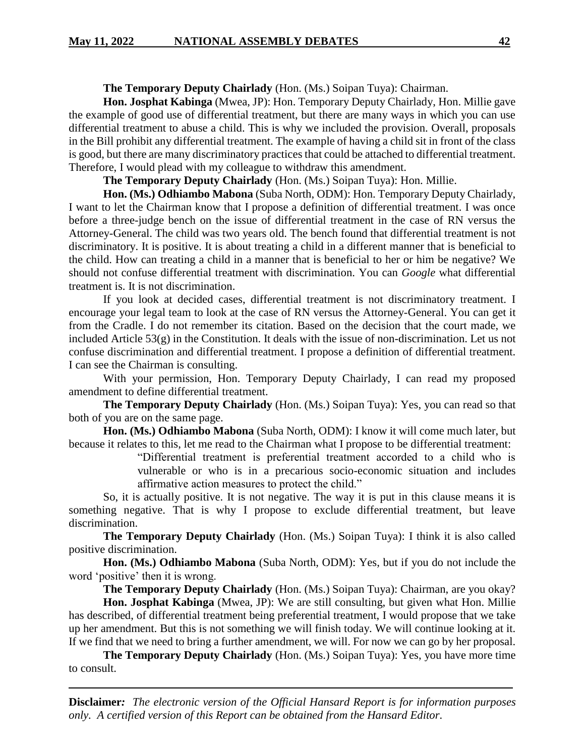**The Temporary Deputy Chairlady** (Hon. (Ms.) Soipan Tuya): Chairman.

**Hon. Josphat Kabinga** (Mwea, JP): Hon. Temporary Deputy Chairlady, Hon. Millie gave the example of good use of differential treatment, but there are many ways in which you can use differential treatment to abuse a child. This is why we included the provision. Overall, proposals in the Bill prohibit any differential treatment. The example of having a child sit in front of the class is good, but there are many discriminatory practices that could be attached to differential treatment. Therefore, I would plead with my colleague to withdraw this amendment.

**The Temporary Deputy Chairlady** (Hon. (Ms.) Soipan Tuya): Hon. Millie.

**Hon. (Ms.) Odhiambo Mabona** (Suba North, ODM): Hon. Temporary Deputy Chairlady, I want to let the Chairman know that I propose a definition of differential treatment. I was once before a three-judge bench on the issue of differential treatment in the case of RN versus the Attorney-General. The child was two years old. The bench found that differential treatment is not discriminatory. It is positive. It is about treating a child in a different manner that is beneficial to the child. How can treating a child in a manner that is beneficial to her or him be negative? We should not confuse differential treatment with discrimination. You can *Google* what differential treatment is. It is not discrimination.

If you look at decided cases, differential treatment is not discriminatory treatment. I encourage your legal team to look at the case of RN versus the Attorney-General. You can get it from the Cradle. I do not remember its citation. Based on the decision that the court made, we included Article 53(g) in the Constitution. It deals with the issue of non-discrimination. Let us not confuse discrimination and differential treatment. I propose a definition of differential treatment. I can see the Chairman is consulting.

With your permission, Hon. Temporary Deputy Chairlady, I can read my proposed amendment to define differential treatment.

**The Temporary Deputy Chairlady** (Hon. (Ms.) Soipan Tuya): Yes, you can read so that both of you are on the same page.

**Hon. (Ms.) Odhiambo Mabona** (Suba North, ODM): I know it will come much later, but because it relates to this, let me read to the Chairman what I propose to be differential treatment:

> "Differential treatment is preferential treatment accorded to a child who is vulnerable or who is in a precarious socio-economic situation and includes affirmative action measures to protect the child."

So, it is actually positive. It is not negative. The way it is put in this clause means it is something negative. That is why I propose to exclude differential treatment, but leave discrimination.

**The Temporary Deputy Chairlady** (Hon. (Ms.) Soipan Tuya): I think it is also called positive discrimination.

**Hon. (Ms.) Odhiambo Mabona** (Suba North, ODM): Yes, but if you do not include the word 'positive' then it is wrong.

**The Temporary Deputy Chairlady** (Hon. (Ms.) Soipan Tuya): Chairman, are you okay?

**Hon. Josphat Kabinga** (Mwea, JP): We are still consulting, but given what Hon. Millie has described, of differential treatment being preferential treatment, I would propose that we take up her amendment. But this is not something we will finish today. We will continue looking at it. If we find that we need to bring a further amendment, we will. For now we can go by her proposal.

**The Temporary Deputy Chairlady** (Hon. (Ms.) Soipan Tuya): Yes, you have more time to consult.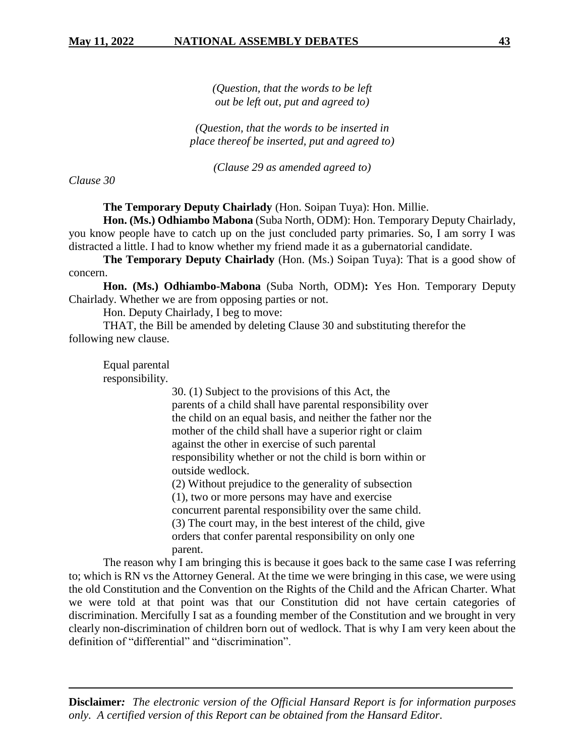*(Question, that the words to be left out be left out, put and agreed to)*

*(Question, that the words to be inserted in place thereof be inserted, put and agreed to)*

*(Clause 29 as amended agreed to)*

*Clause 30*

**The Temporary Deputy Chairlady** (Hon. Soipan Tuya): Hon. Millie.

**Hon. (Ms.) Odhiambo Mabona** (Suba North, ODM): Hon. Temporary Deputy Chairlady, you know people have to catch up on the just concluded party primaries. So, I am sorry I was distracted a little. I had to know whether my friend made it as a gubernatorial candidate.

**The Temporary Deputy Chairlady** (Hon. (Ms.) Soipan Tuya): That is a good show of concern.

**Hon. (Ms.) Odhiambo-Mabona** (Suba North, ODM)**:** Yes Hon. Temporary Deputy Chairlady. Whether we are from opposing parties or not.

Hon. Deputy Chairlady, I beg to move:

THAT, the Bill be amended by deleting Clause 30 and substituting therefor the following new clause.

Equal parental responsibility.

> 30. (1) Subject to the provisions of this Act, the parents of a child shall have parental responsibility over the child on an equal basis, and neither the father nor the mother of the child shall have a superior right or claim against the other in exercise of such parental responsibility whether or not the child is born within or outside wedlock.

(2) Without prejudice to the generality of subsection (1), two or more persons may have and exercise concurrent parental responsibility over the same child. (3) The court may, in the best interest of the child, give orders that confer parental responsibility on only one parent.

The reason why I am bringing this is because it goes back to the same case I was referring to; which is RN vs the Attorney General. At the time we were bringing in this case, we were using the old Constitution and the Convention on the Rights of the Child and the African Charter. What we were told at that point was that our Constitution did not have certain categories of discrimination. Mercifully I sat as a founding member of the Constitution and we brought in very clearly non-discrimination of children born out of wedlock. That is why I am very keen about the definition of "differential" and "discrimination".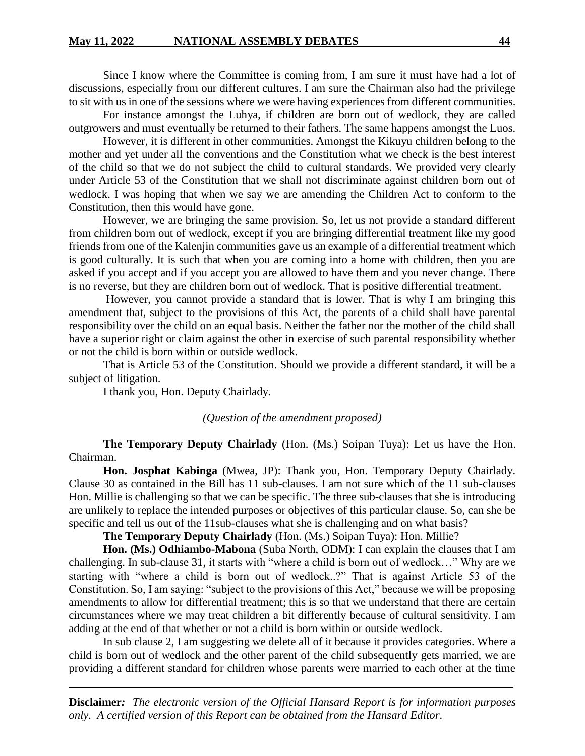Since I know where the Committee is coming from, I am sure it must have had a lot of discussions, especially from our different cultures. I am sure the Chairman also had the privilege to sit with us in one of the sessions where we were having experiences from different communities.

For instance amongst the Luhya, if children are born out of wedlock, they are called outgrowers and must eventually be returned to their fathers. The same happens amongst the Luos.

However, it is different in other communities. Amongst the Kikuyu children belong to the mother and yet under all the conventions and the Constitution what we check is the best interest of the child so that we do not subject the child to cultural standards. We provided very clearly under Article 53 of the Constitution that we shall not discriminate against children born out of wedlock. I was hoping that when we say we are amending the Children Act to conform to the Constitution, then this would have gone.

However, we are bringing the same provision. So, let us not provide a standard different from children born out of wedlock, except if you are bringing differential treatment like my good friends from one of the Kalenjin communities gave us an example of a differential treatment which is good culturally. It is such that when you are coming into a home with children, then you are asked if you accept and if you accept you are allowed to have them and you never change. There is no reverse, but they are children born out of wedlock. That is positive differential treatment.

However, you cannot provide a standard that is lower. That is why I am bringing this amendment that, subject to the provisions of this Act, the parents of a child shall have parental responsibility over the child on an equal basis. Neither the father nor the mother of the child shall have a superior right or claim against the other in exercise of such parental responsibility whether or not the child is born within or outside wedlock.

That is Article 53 of the Constitution. Should we provide a different standard, it will be a subject of litigation.

I thank you, Hon. Deputy Chairlady.

#### *(Question of the amendment proposed)*

**The Temporary Deputy Chairlady** (Hon. (Ms.) Soipan Tuya): Let us have the Hon. Chairman.

**Hon. Josphat Kabinga** (Mwea, JP): Thank you, Hon. Temporary Deputy Chairlady. Clause 30 as contained in the Bill has 11 sub-clauses. I am not sure which of the 11 sub-clauses Hon. Millie is challenging so that we can be specific. The three sub-clauses that she is introducing are unlikely to replace the intended purposes or objectives of this particular clause. So, can she be specific and tell us out of the 11sub-clauses what she is challenging and on what basis?

**The Temporary Deputy Chairlady** (Hon. (Ms.) Soipan Tuya): Hon. Millie?

**Hon. (Ms.) Odhiambo-Mabona** (Suba North, ODM): I can explain the clauses that I am challenging. In sub-clause 31, it starts with "where a child is born out of wedlock…" Why are we starting with "where a child is born out of wedlock..?" That is against Article 53 of the Constitution. So, I am saying: "subject to the provisions of this Act," because we will be proposing amendments to allow for differential treatment; this is so that we understand that there are certain circumstances where we may treat children a bit differently because of cultural sensitivity. I am adding at the end of that whether or not a child is born within or outside wedlock.

In sub clause 2, I am suggesting we delete all of it because it provides categories. Where a child is born out of wedlock and the other parent of the child subsequently gets married, we are providing a different standard for children whose parents were married to each other at the time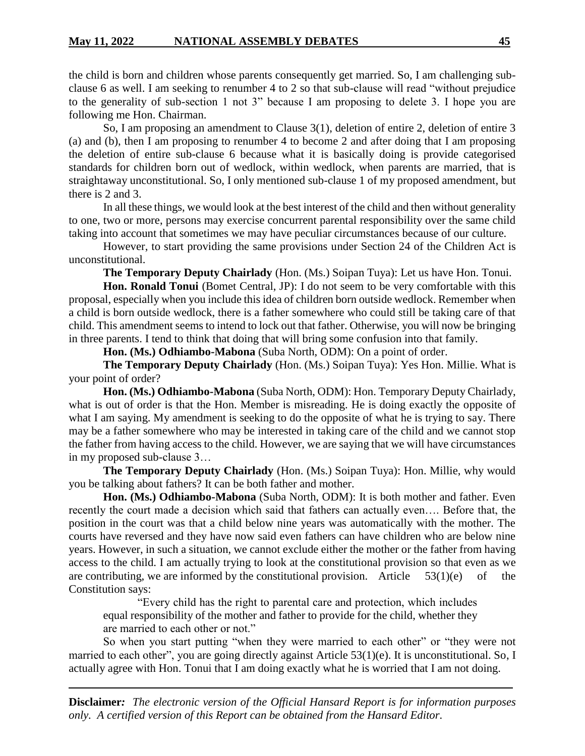the child is born and children whose parents consequently get married. So, I am challenging subclause 6 as well. I am seeking to renumber 4 to 2 so that sub-clause will read "without prejudice to the generality of sub-section 1 not 3" because I am proposing to delete 3. I hope you are following me Hon. Chairman.

So, I am proposing an amendment to Clause 3(1), deletion of entire 2, deletion of entire 3 (a) and (b), then I am proposing to renumber 4 to become 2 and after doing that I am proposing the deletion of entire sub-clause 6 because what it is basically doing is provide categorised standards for children born out of wedlock, within wedlock, when parents are married, that is straightaway unconstitutional. So, I only mentioned sub-clause 1 of my proposed amendment, but there is 2 and 3.

In all these things, we would look at the best interest of the child and then without generality to one, two or more, persons may exercise concurrent parental responsibility over the same child taking into account that sometimes we may have peculiar circumstances because of our culture.

However, to start providing the same provisions under Section 24 of the Children Act is unconstitutional.

**The Temporary Deputy Chairlady** (Hon. (Ms.) Soipan Tuya): Let us have Hon. Tonui.

**Hon. Ronald Tonui** (Bomet Central, JP): I do not seem to be very comfortable with this proposal, especially when you include this idea of children born outside wedlock. Remember when a child is born outside wedlock, there is a father somewhere who could still be taking care of that child. This amendment seems to intend to lock out that father. Otherwise, you will now be bringing in three parents. I tend to think that doing that will bring some confusion into that family.

**Hon. (Ms.) Odhiambo-Mabona** (Suba North, ODM): On a point of order.

**The Temporary Deputy Chairlady** (Hon. (Ms.) Soipan Tuya): Yes Hon. Millie. What is your point of order?

**Hon. (Ms.) Odhiambo-Mabona** (Suba North, ODM): Hon. Temporary Deputy Chairlady, what is out of order is that the Hon. Member is misreading. He is doing exactly the opposite of what I am saying. My amendment is seeking to do the opposite of what he is trying to say. There may be a father somewhere who may be interested in taking care of the child and we cannot stop the father from having access to the child. However, we are saying that we will have circumstances in my proposed sub-clause 3…

**The Temporary Deputy Chairlady** (Hon. (Ms.) Soipan Tuya): Hon. Millie, why would you be talking about fathers? It can be both father and mother.

**Hon. (Ms.) Odhiambo-Mabona** (Suba North, ODM): It is both mother and father. Even recently the court made a decision which said that fathers can actually even…. Before that, the position in the court was that a child below nine years was automatically with the mother. The courts have reversed and they have now said even fathers can have children who are below nine years. However, in such a situation, we cannot exclude either the mother or the father from having access to the child. I am actually trying to look at the constitutional provision so that even as we are contributing, we are informed by the constitutional provision. Article  $53(1)(e)$  of the Constitution says:

"Every child has the right to parental care and protection, which includes equal responsibility of the mother and father to provide for the child, whether they are married to each other or not."

So when you start putting "when they were married to each other" or "they were not married to each other", you are going directly against Article 53(1)(e). It is unconstitutional. So, I actually agree with Hon. Tonui that I am doing exactly what he is worried that I am not doing.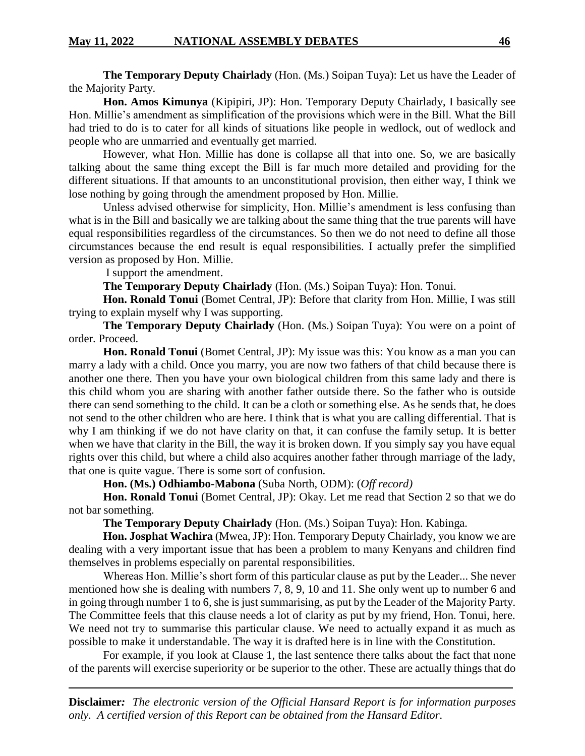**The Temporary Deputy Chairlady** (Hon. (Ms.) Soipan Tuya): Let us have the Leader of the Majority Party.

**Hon. Amos Kimunya** (Kipipiri, JP): Hon. Temporary Deputy Chairlady, I basically see Hon. Millie's amendment as simplification of the provisions which were in the Bill. What the Bill had tried to do is to cater for all kinds of situations like people in wedlock, out of wedlock and people who are unmarried and eventually get married.

However, what Hon. Millie has done is collapse all that into one. So, we are basically talking about the same thing except the Bill is far much more detailed and providing for the different situations. If that amounts to an unconstitutional provision, then either way, I think we lose nothing by going through the amendment proposed by Hon. Millie.

Unless advised otherwise for simplicity, Hon. Millie's amendment is less confusing than what is in the Bill and basically we are talking about the same thing that the true parents will have equal responsibilities regardless of the circumstances. So then we do not need to define all those circumstances because the end result is equal responsibilities. I actually prefer the simplified version as proposed by Hon. Millie.

I support the amendment.

**The Temporary Deputy Chairlady** (Hon. (Ms.) Soipan Tuya): Hon. Tonui.

**Hon. Ronald Tonui** (Bomet Central, JP): Before that clarity from Hon. Millie, I was still trying to explain myself why I was supporting.

**The Temporary Deputy Chairlady** (Hon. (Ms.) Soipan Tuya): You were on a point of order. Proceed.

**Hon. Ronald Tonui** (Bomet Central, JP): My issue was this: You know as a man you can marry a lady with a child. Once you marry, you are now two fathers of that child because there is another one there. Then you have your own biological children from this same lady and there is this child whom you are sharing with another father outside there. So the father who is outside there can send something to the child. It can be a cloth or something else. As he sends that, he does not send to the other children who are here. I think that is what you are calling differential. That is why I am thinking if we do not have clarity on that, it can confuse the family setup. It is better when we have that clarity in the Bill, the way it is broken down. If you simply say you have equal rights over this child, but where a child also acquires another father through marriage of the lady, that one is quite vague. There is some sort of confusion.

**Hon. (Ms.) Odhiambo-Mabona** (Suba North, ODM): (*Off record)*

**Hon. Ronald Tonui** (Bomet Central, JP): Okay. Let me read that Section 2 so that we do not bar something.

**The Temporary Deputy Chairlady** (Hon. (Ms.) Soipan Tuya): Hon. Kabinga.

**Hon. Josphat Wachira** (Mwea, JP): Hon. Temporary Deputy Chairlady, you know we are dealing with a very important issue that has been a problem to many Kenyans and children find themselves in problems especially on parental responsibilities.

Whereas Hon. Millie's short form of this particular clause as put by the Leader... She never mentioned how she is dealing with numbers 7, 8, 9, 10 and 11. She only went up to number 6 and in going through number 1 to 6, she is just summarising, as put by the Leader of the Majority Party. The Committee feels that this clause needs a lot of clarity as put by my friend, Hon. Tonui, here. We need not try to summarise this particular clause. We need to actually expand it as much as possible to make it understandable. The way it is drafted here is in line with the Constitution.

For example, if you look at Clause 1, the last sentence there talks about the fact that none of the parents will exercise superiority or be superior to the other. These are actually things that do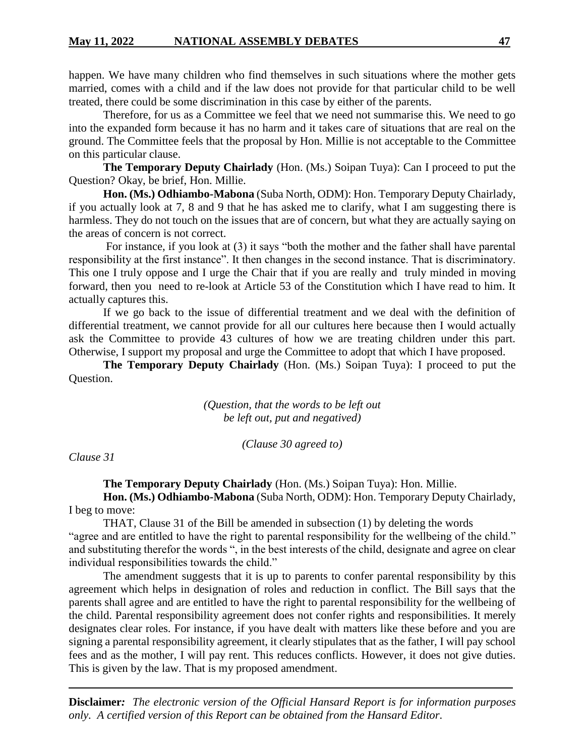happen. We have many children who find themselves in such situations where the mother gets married, comes with a child and if the law does not provide for that particular child to be well treated, there could be some discrimination in this case by either of the parents.

Therefore, for us as a Committee we feel that we need not summarise this. We need to go into the expanded form because it has no harm and it takes care of situations that are real on the ground. The Committee feels that the proposal by Hon. Millie is not acceptable to the Committee on this particular clause.

**The Temporary Deputy Chairlady** (Hon. (Ms.) Soipan Tuya): Can I proceed to put the Question? Okay, be brief, Hon. Millie.

**Hon. (Ms.) Odhiambo-Mabona** (Suba North, ODM): Hon. Temporary Deputy Chairlady, if you actually look at 7, 8 and 9 that he has asked me to clarify, what I am suggesting there is harmless. They do not touch on the issues that are of concern, but what they are actually saying on the areas of concern is not correct.

For instance, if you look at (3) it says "both the mother and the father shall have parental responsibility at the first instance". It then changes in the second instance. That is discriminatory. This one I truly oppose and I urge the Chair that if you are really and truly minded in moving forward, then you need to re-look at Article 53 of the Constitution which I have read to him. It actually captures this.

If we go back to the issue of differential treatment and we deal with the definition of differential treatment, we cannot provide for all our cultures here because then I would actually ask the Committee to provide 43 cultures of how we are treating children under this part. Otherwise, I support my proposal and urge the Committee to adopt that which I have proposed.

**The Temporary Deputy Chairlady** (Hon. (Ms.) Soipan Tuya): I proceed to put the Question.

> *(Question, that the words to be left out be left out, put and negatived)*

> > *(Clause 30 agreed to)*

*Clause 31*

**The Temporary Deputy Chairlady** (Hon. (Ms.) Soipan Tuya): Hon. Millie. **Hon. (Ms.) Odhiambo-Mabona** (Suba North, ODM): Hon. Temporary Deputy Chairlady, I beg to move:

THAT, Clause 31 of the Bill be amended in subsection (1) by deleting the words "agree and are entitled to have the right to parental responsibility for the wellbeing of the child." and substituting therefor the words ", in the best interests of the child, designate and agree on clear individual responsibilities towards the child."

The amendment suggests that it is up to parents to confer parental responsibility by this agreement which helps in designation of roles and reduction in conflict. The Bill says that the parents shall agree and are entitled to have the right to parental responsibility for the wellbeing of the child. Parental responsibility agreement does not confer rights and responsibilities. It merely designates clear roles. For instance, if you have dealt with matters like these before and you are signing a parental responsibility agreement, it clearly stipulates that as the father, I will pay school fees and as the mother, I will pay rent. This reduces conflicts. However, it does not give duties. This is given by the law. That is my proposed amendment.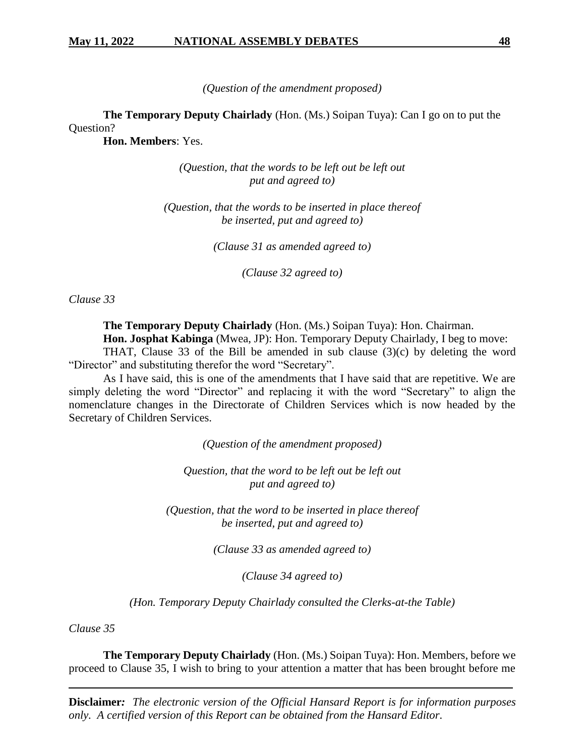*(Question of the amendment proposed)*

**The Temporary Deputy Chairlady** (Hon. (Ms.) Soipan Tuya): Can I go on to put the Question?

**Hon. Members**: Yes.

*(Question, that the words to be left out be left out put and agreed to)*

*(Question, that the words to be inserted in place thereof be inserted, put and agreed to)*

*(Clause 31 as amended agreed to)*

*(Clause 32 agreed to)*

*Clause 33*

**The Temporary Deputy Chairlady** (Hon. (Ms.) Soipan Tuya): Hon. Chairman.

**Hon. Josphat Kabinga** (Mwea, JP): Hon. Temporary Deputy Chairlady, I beg to move:

THAT, Clause 33 of the Bill be amended in sub clause  $(3)(c)$  by deleting the word "Director" and substituting therefor the word "Secretary".

As I have said, this is one of the amendments that I have said that are repetitive. We are simply deleting the word "Director" and replacing it with the word "Secretary" to align the nomenclature changes in the Directorate of Children Services which is now headed by the Secretary of Children Services.

*(Question of the amendment proposed)*

*Question, that the word to be left out be left out put and agreed to)*

*(Question, that the word to be inserted in place thereof be inserted, put and agreed to)*

*(Clause 33 as amended agreed to)*

*(Clause 34 agreed to)*

*(Hon. Temporary Deputy Chairlady consulted the Clerks-at-the Table)*

*Clause 35*

**The Temporary Deputy Chairlady** (Hon. (Ms.) Soipan Tuya): Hon. Members, before we proceed to Clause 35, I wish to bring to your attention a matter that has been brought before me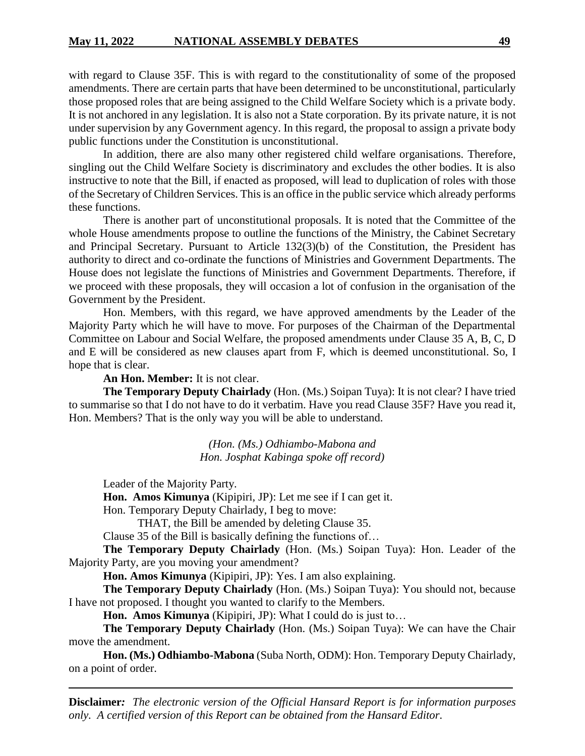with regard to Clause 35F. This is with regard to the constitutionality of some of the proposed amendments. There are certain parts that have been determined to be unconstitutional, particularly those proposed roles that are being assigned to the Child Welfare Society which is a private body. It is not anchored in any legislation. It is also not a State corporation. By its private nature, it is not under supervision by any Government agency. In this regard, the proposal to assign a private body public functions under the Constitution is unconstitutional.

In addition, there are also many other registered child welfare organisations. Therefore, singling out the Child Welfare Society is discriminatory and excludes the other bodies. It is also instructive to note that the Bill, if enacted as proposed, will lead to duplication of roles with those of the Secretary of Children Services. This is an office in the public service which already performs these functions.

There is another part of unconstitutional proposals. It is noted that the Committee of the whole House amendments propose to outline the functions of the Ministry, the Cabinet Secretary and Principal Secretary. Pursuant to Article 132(3)(b) of the Constitution, the President has authority to direct and co-ordinate the functions of Ministries and Government Departments. The House does not legislate the functions of Ministries and Government Departments. Therefore, if we proceed with these proposals, they will occasion a lot of confusion in the organisation of the Government by the President.

Hon. Members, with this regard, we have approved amendments by the Leader of the Majority Party which he will have to move. For purposes of the Chairman of the Departmental Committee on Labour and Social Welfare, the proposed amendments under Clause 35 A, B, C, D and E will be considered as new clauses apart from F, which is deemed unconstitutional. So, I hope that is clear.

#### **An Hon. Member:** It is not clear.

**The Temporary Deputy Chairlady** (Hon. (Ms.) Soipan Tuya): It is not clear? I have tried to summarise so that I do not have to do it verbatim. Have you read Clause 35F? Have you read it, Hon. Members? That is the only way you will be able to understand.

> *(Hon. (Ms.) Odhiambo-Mabona and Hon. Josphat Kabinga spoke off record)*

Leader of the Majority Party.

**Hon. Amos Kimunya** (Kipipiri, JP): Let me see if I can get it.

Hon. Temporary Deputy Chairlady, I beg to move:

THAT, the Bill be amended by deleting Clause 35.

Clause 35 of the Bill is basically defining the functions of…

**The Temporary Deputy Chairlady** (Hon. (Ms.) Soipan Tuya): Hon. Leader of the Majority Party, are you moving your amendment?

**Hon. Amos Kimunya** (Kipipiri, JP): Yes. I am also explaining.

**The Temporary Deputy Chairlady** (Hon. (Ms.) Soipan Tuya): You should not, because I have not proposed. I thought you wanted to clarify to the Members.

**Hon. Amos Kimunya** (Kipipiri, JP): What I could do is just to…

**The Temporary Deputy Chairlady** (Hon. (Ms.) Soipan Tuya): We can have the Chair move the amendment.

**Hon. (Ms.) Odhiambo-Mabona** (Suba North, ODM): Hon. Temporary Deputy Chairlady, on a point of order.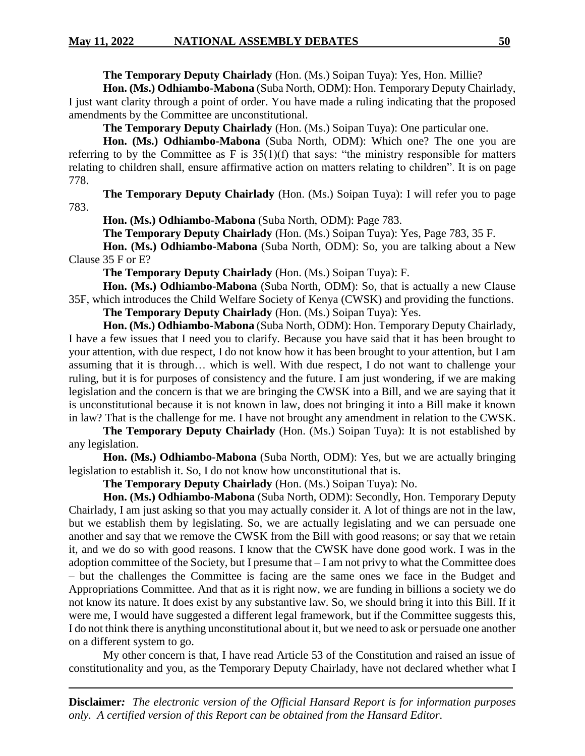**The Temporary Deputy Chairlady** (Hon. (Ms.) Soipan Tuya): Yes, Hon. Millie?

**Hon. (Ms.) Odhiambo-Mabona** (Suba North, ODM): Hon. Temporary Deputy Chairlady, I just want clarity through a point of order. You have made a ruling indicating that the proposed amendments by the Committee are unconstitutional.

**The Temporary Deputy Chairlady** (Hon. (Ms.) Soipan Tuya): One particular one.

**Hon. (Ms.) Odhiambo-Mabona** (Suba North, ODM): Which one? The one you are referring to by the Committee as F is  $35(1)(f)$  that says: "the ministry responsible for matters relating to children shall, ensure affirmative action on matters relating to children". It is on page 778.

**The Temporary Deputy Chairlady** (Hon. (Ms.) Soipan Tuya): I will refer you to page 783.

**Hon. (Ms.) Odhiambo-Mabona** (Suba North, ODM): Page 783.

**The Temporary Deputy Chairlady** (Hon. (Ms.) Soipan Tuya): Yes, Page 783, 35 F.

**Hon. (Ms.) Odhiambo-Mabona** (Suba North, ODM): So, you are talking about a New Clause 35 F or E?

**The Temporary Deputy Chairlady** (Hon. (Ms.) Soipan Tuya): F.

**Hon. (Ms.) Odhiambo-Mabona** (Suba North, ODM): So, that is actually a new Clause 35F, which introduces the Child Welfare Society of Kenya (CWSK) and providing the functions.

**The Temporary Deputy Chairlady** (Hon. (Ms.) Soipan Tuya): Yes.

**Hon. (Ms.) Odhiambo-Mabona** (Suba North, ODM): Hon. Temporary Deputy Chairlady, I have a few issues that I need you to clarify. Because you have said that it has been brought to your attention, with due respect, I do not know how it has been brought to your attention, but I am assuming that it is through… which is well. With due respect, I do not want to challenge your ruling, but it is for purposes of consistency and the future. I am just wondering, if we are making legislation and the concern is that we are bringing the CWSK into a Bill, and we are saying that it is unconstitutional because it is not known in law, does not bringing it into a Bill make it known in law? That is the challenge for me. I have not brought any amendment in relation to the CWSK.

**The Temporary Deputy Chairlady** (Hon. (Ms.) Soipan Tuya): It is not established by any legislation.

**Hon. (Ms.) Odhiambo-Mabona** (Suba North, ODM): Yes, but we are actually bringing legislation to establish it. So, I do not know how unconstitutional that is.

**The Temporary Deputy Chairlady** (Hon. (Ms.) Soipan Tuya): No.

**Hon. (Ms.) Odhiambo-Mabona** (Suba North, ODM): Secondly, Hon. Temporary Deputy Chairlady, I am just asking so that you may actually consider it. A lot of things are not in the law, but we establish them by legislating. So, we are actually legislating and we can persuade one another and say that we remove the CWSK from the Bill with good reasons; or say that we retain it, and we do so with good reasons. I know that the CWSK have done good work. I was in the adoption committee of the Society, but I presume that – I am not privy to what the Committee does – but the challenges the Committee is facing are the same ones we face in the Budget and Appropriations Committee. And that as it is right now, we are funding in billions a society we do not know its nature. It does exist by any substantive law. So, we should bring it into this Bill. If it were me, I would have suggested a different legal framework, but if the Committee suggests this, I do not think there is anything unconstitutional about it, but we need to ask or persuade one another on a different system to go.

My other concern is that, I have read Article 53 of the Constitution and raised an issue of constitutionality and you, as the Temporary Deputy Chairlady, have not declared whether what I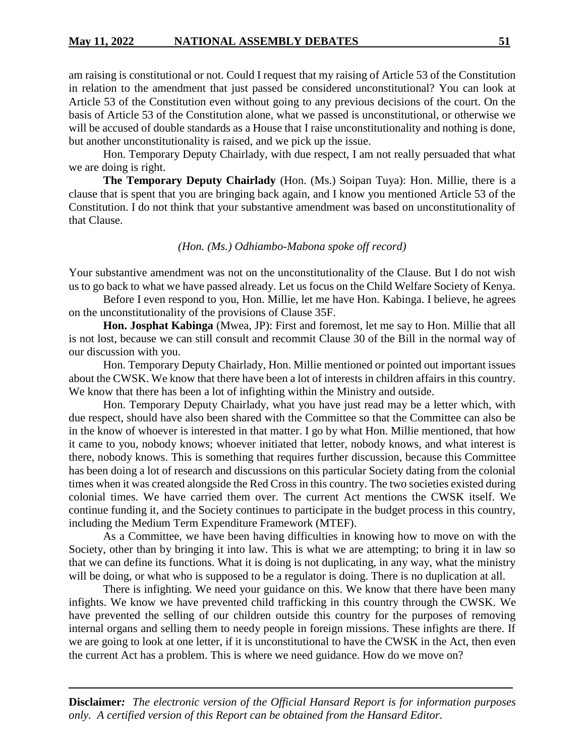am raising is constitutional or not. Could I request that my raising of Article 53 of the Constitution in relation to the amendment that just passed be considered unconstitutional? You can look at Article 53 of the Constitution even without going to any previous decisions of the court. On the basis of Article 53 of the Constitution alone, what we passed is unconstitutional, or otherwise we will be accused of double standards as a House that I raise unconstitutionality and nothing is done, but another unconstitutionality is raised, and we pick up the issue.

Hon. Temporary Deputy Chairlady, with due respect, I am not really persuaded that what we are doing is right.

**The Temporary Deputy Chairlady** (Hon. (Ms.) Soipan Tuya): Hon. Millie, there is a clause that is spent that you are bringing back again, and I know you mentioned Article 53 of the Constitution. I do not think that your substantive amendment was based on unconstitutionality of that Clause.

#### *(Hon. (Ms.) Odhiambo-Mabona spoke off record)*

Your substantive amendment was not on the unconstitutionality of the Clause. But I do not wish us to go back to what we have passed already. Let us focus on the Child Welfare Society of Kenya.

Before I even respond to you, Hon. Millie, let me have Hon. Kabinga. I believe, he agrees on the unconstitutionality of the provisions of Clause 35F.

**Hon. Josphat Kabinga** (Mwea, JP): First and foremost, let me say to Hon. Millie that all is not lost, because we can still consult and recommit Clause 30 of the Bill in the normal way of our discussion with you.

Hon. Temporary Deputy Chairlady, Hon. Millie mentioned or pointed out important issues about the CWSK. We know that there have been a lot of interests in children affairs in this country. We know that there has been a lot of infighting within the Ministry and outside.

Hon. Temporary Deputy Chairlady, what you have just read may be a letter which, with due respect, should have also been shared with the Committee so that the Committee can also be in the know of whoever is interested in that matter. I go by what Hon. Millie mentioned, that how it came to you, nobody knows; whoever initiated that letter, nobody knows, and what interest is there, nobody knows. This is something that requires further discussion, because this Committee has been doing a lot of research and discussions on this particular Society dating from the colonial times when it was created alongside the Red Cross in this country. The two societies existed during colonial times. We have carried them over. The current Act mentions the CWSK itself. We continue funding it, and the Society continues to participate in the budget process in this country, including the Medium Term Expenditure Framework (MTEF).

As a Committee, we have been having difficulties in knowing how to move on with the Society, other than by bringing it into law. This is what we are attempting; to bring it in law so that we can define its functions. What it is doing is not duplicating, in any way, what the ministry will be doing, or what who is supposed to be a regulator is doing. There is no duplication at all.

There is infighting. We need your guidance on this. We know that there have been many infights. We know we have prevented child trafficking in this country through the CWSK. We have prevented the selling of our children outside this country for the purposes of removing internal organs and selling them to needy people in foreign missions. These infights are there. If we are going to look at one letter, if it is unconstitutional to have the CWSK in the Act, then even the current Act has a problem. This is where we need guidance. How do we move on?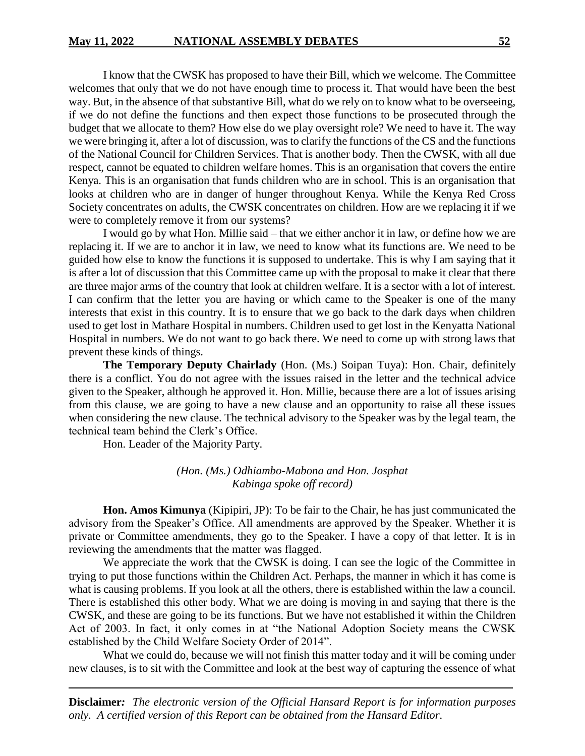I know that the CWSK has proposed to have their Bill, which we welcome. The Committee welcomes that only that we do not have enough time to process it. That would have been the best way. But, in the absence of that substantive Bill, what do we rely on to know what to be overseeing, if we do not define the functions and then expect those functions to be prosecuted through the budget that we allocate to them? How else do we play oversight role? We need to have it. The way we were bringing it, after a lot of discussion, was to clarify the functions of the CS and the functions of the National Council for Children Services. That is another body. Then the CWSK, with all due respect, cannot be equated to children welfare homes. This is an organisation that covers the entire Kenya. This is an organisation that funds children who are in school. This is an organisation that looks at children who are in danger of hunger throughout Kenya. While the Kenya Red Cross Society concentrates on adults, the CWSK concentrates on children. How are we replacing it if we were to completely remove it from our systems?

I would go by what Hon. Millie said – that we either anchor it in law, or define how we are replacing it. If we are to anchor it in law, we need to know what its functions are. We need to be guided how else to know the functions it is supposed to undertake. This is why I am saying that it is after a lot of discussion that this Committee came up with the proposal to make it clear that there are three major arms of the country that look at children welfare. It is a sector with a lot of interest. I can confirm that the letter you are having or which came to the Speaker is one of the many interests that exist in this country. It is to ensure that we go back to the dark days when children used to get lost in Mathare Hospital in numbers. Children used to get lost in the Kenyatta National Hospital in numbers. We do not want to go back there. We need to come up with strong laws that prevent these kinds of things.

**The Temporary Deputy Chairlady** (Hon. (Ms.) Soipan Tuya): Hon. Chair, definitely there is a conflict. You do not agree with the issues raised in the letter and the technical advice given to the Speaker, although he approved it. Hon. Millie, because there are a lot of issues arising from this clause, we are going to have a new clause and an opportunity to raise all these issues when considering the new clause. The technical advisory to the Speaker was by the legal team, the technical team behind the Clerk's Office.

Hon. Leader of the Majority Party.

*(Hon. (Ms.) Odhiambo-Mabona and Hon. Josphat Kabinga spoke off record)*

**Hon. Amos Kimunya** (Kipipiri, JP): To be fair to the Chair, he has just communicated the advisory from the Speaker's Office. All amendments are approved by the Speaker. Whether it is private or Committee amendments, they go to the Speaker. I have a copy of that letter. It is in reviewing the amendments that the matter was flagged.

We appreciate the work that the CWSK is doing. I can see the logic of the Committee in trying to put those functions within the Children Act. Perhaps, the manner in which it has come is what is causing problems. If you look at all the others, there is established within the law a council. There is established this other body. What we are doing is moving in and saying that there is the CWSK, and these are going to be its functions. But we have not established it within the Children Act of 2003. In fact, it only comes in at "the National Adoption Society means the CWSK established by the Child Welfare Society Order of 2014".

What we could do, because we will not finish this matter today and it will be coming under new clauses, is to sit with the Committee and look at the best way of capturing the essence of what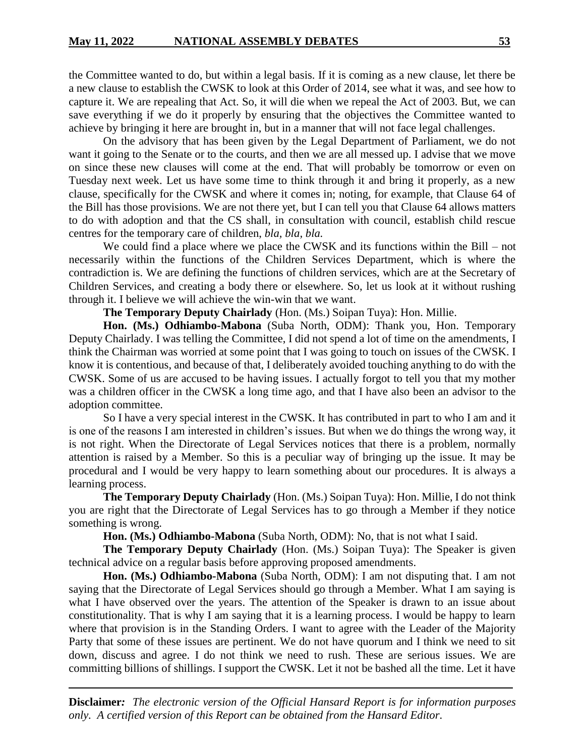the Committee wanted to do, but within a legal basis. If it is coming as a new clause, let there be a new clause to establish the CWSK to look at this Order of 2014, see what it was, and see how to capture it. We are repealing that Act. So, it will die when we repeal the Act of 2003. But, we can save everything if we do it properly by ensuring that the objectives the Committee wanted to achieve by bringing it here are brought in, but in a manner that will not face legal challenges.

On the advisory that has been given by the Legal Department of Parliament, we do not want it going to the Senate or to the courts, and then we are all messed up. I advise that we move on since these new clauses will come at the end. That will probably be tomorrow or even on Tuesday next week. Let us have some time to think through it and bring it properly, as a new clause, specifically for the CWSK and where it comes in; noting, for example, that Clause 64 of the Bill has those provisions. We are not there yet, but I can tell you that Clause 64 allows matters to do with adoption and that the CS shall, in consultation with council, establish child rescue centres for the temporary care of children, *bla, bla, bla.*

We could find a place where we place the CWSK and its functions within the Bill – not necessarily within the functions of the Children Services Department, which is where the contradiction is. We are defining the functions of children services, which are at the Secretary of Children Services, and creating a body there or elsewhere. So, let us look at it without rushing through it. I believe we will achieve the win-win that we want.

**The Temporary Deputy Chairlady** (Hon. (Ms.) Soipan Tuya): Hon. Millie.

**Hon. (Ms.) Odhiambo-Mabona** (Suba North, ODM): Thank you, Hon. Temporary Deputy Chairlady. I was telling the Committee, I did not spend a lot of time on the amendments, I think the Chairman was worried at some point that I was going to touch on issues of the CWSK. I know it is contentious, and because of that, I deliberately avoided touching anything to do with the CWSK. Some of us are accused to be having issues. I actually forgot to tell you that my mother was a children officer in the CWSK a long time ago, and that I have also been an advisor to the adoption committee.

So I have a very special interest in the CWSK. It has contributed in part to who I am and it is one of the reasons I am interested in children's issues. But when we do things the wrong way, it is not right. When the Directorate of Legal Services notices that there is a problem, normally attention is raised by a Member. So this is a peculiar way of bringing up the issue. It may be procedural and I would be very happy to learn something about our procedures. It is always a learning process.

**The Temporary Deputy Chairlady** (Hon. (Ms.) Soipan Tuya): Hon. Millie, I do not think you are right that the Directorate of Legal Services has to go through a Member if they notice something is wrong.

**Hon. (Ms.) Odhiambo-Mabona** (Suba North, ODM): No, that is not what I said.

**The Temporary Deputy Chairlady** (Hon. (Ms.) Soipan Tuya): The Speaker is given technical advice on a regular basis before approving proposed amendments.

**Hon. (Ms.) Odhiambo-Mabona** (Suba North, ODM): I am not disputing that. I am not saying that the Directorate of Legal Services should go through a Member. What I am saying is what I have observed over the years. The attention of the Speaker is drawn to an issue about constitutionality. That is why I am saying that it is a learning process. I would be happy to learn where that provision is in the Standing Orders. I want to agree with the Leader of the Majority Party that some of these issues are pertinent. We do not have quorum and I think we need to sit down, discuss and agree. I do not think we need to rush. These are serious issues. We are committing billions of shillings. I support the CWSK. Let it not be bashed all the time. Let it have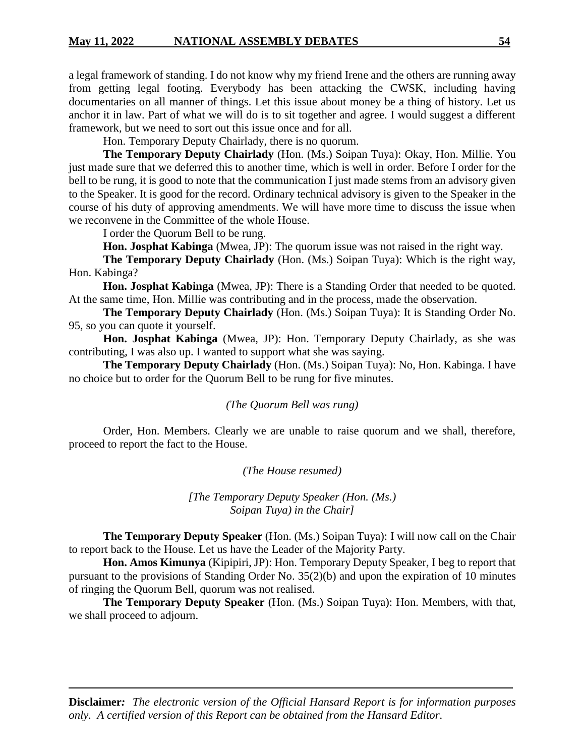a legal framework of standing. I do not know why my friend Irene and the others are running away from getting legal footing. Everybody has been attacking the CWSK, including having documentaries on all manner of things. Let this issue about money be a thing of history. Let us anchor it in law. Part of what we will do is to sit together and agree. I would suggest a different framework, but we need to sort out this issue once and for all.

Hon. Temporary Deputy Chairlady, there is no quorum.

**The Temporary Deputy Chairlady** (Hon. (Ms.) Soipan Tuya): Okay, Hon. Millie. You just made sure that we deferred this to another time, which is well in order. Before I order for the bell to be rung, it is good to note that the communication I just made stems from an advisory given to the Speaker. It is good for the record. Ordinary technical advisory is given to the Speaker in the course of his duty of approving amendments. We will have more time to discuss the issue when we reconvene in the Committee of the whole House.

I order the Quorum Bell to be rung.

**Hon. Josphat Kabinga** (Mwea, JP): The quorum issue was not raised in the right way.

**The Temporary Deputy Chairlady** (Hon. (Ms.) Soipan Tuya): Which is the right way, Hon. Kabinga?

**Hon. Josphat Kabinga** (Mwea, JP): There is a Standing Order that needed to be quoted. At the same time, Hon. Millie was contributing and in the process, made the observation.

**The Temporary Deputy Chairlady** (Hon. (Ms.) Soipan Tuya): It is Standing Order No. 95, so you can quote it yourself.

**Hon. Josphat Kabinga** (Mwea, JP): Hon. Temporary Deputy Chairlady, as she was contributing, I was also up. I wanted to support what she was saying.

**The Temporary Deputy Chairlady** (Hon. (Ms.) Soipan Tuya): No, Hon. Kabinga. I have no choice but to order for the Quorum Bell to be rung for five minutes.

*(The Quorum Bell was rung)*

Order, Hon. Members. Clearly we are unable to raise quorum and we shall, therefore, proceed to report the fact to the House.

*(The House resumed)*

*[The Temporary Deputy Speaker (Hon. (Ms.) Soipan Tuya) in the Chair]*

**The Temporary Deputy Speaker** (Hon. (Ms.) Soipan Tuya): I will now call on the Chair to report back to the House. Let us have the Leader of the Majority Party.

**Hon. Amos Kimunya** (Kipipiri, JP): Hon. Temporary Deputy Speaker, I beg to report that pursuant to the provisions of Standing Order No. 35(2)(b) and upon the expiration of 10 minutes of ringing the Quorum Bell, quorum was not realised.

**The Temporary Deputy Speaker** (Hon. (Ms.) Soipan Tuya): Hon. Members, with that, we shall proceed to adjourn.